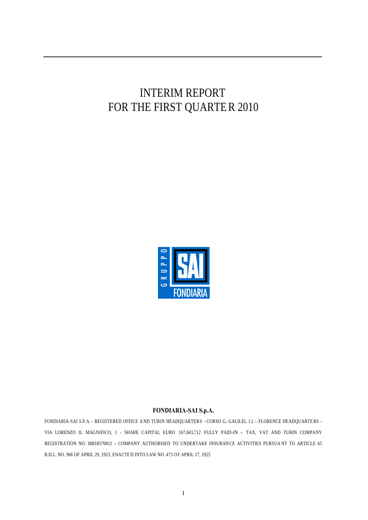# INTERIM REPORT FOR THE FIRST QUARTER 2010



#### **FONDIARIA-SAI S.p.A.**

FONDIARIA-SAI S.P.A. - REGISTERED OFFICE A ND TURIN HEADQUARTERS - CORSO G. GALILEI, 12 - FLORENCE HEADQUARTERS – VIA LORENZO IL MAGNIFICO, 1 - SHARE CAPITAL EURO 167,043,712 FULLY PAID-IN – TAX, VAT AND TURIN COMPANY REGISTRATION NO. 00818570012 - COMPANY AUTHORISED TO UNDERTAKE INSURANCE ACTIVITIES PURSUANT TO ARTICLE 65 R.D.L. NO. 966 OF APRIL 29, 1923, ENACTE D INTO LAW NO. 473 OF APRIL 17, 1925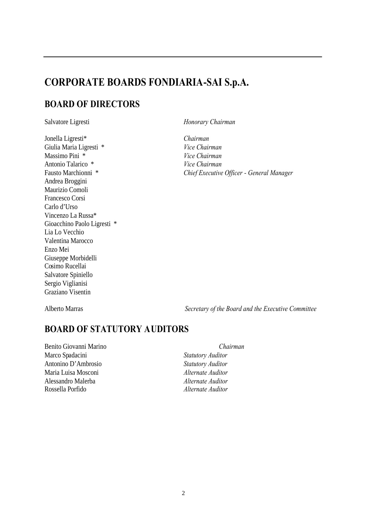# **CORPORATE BOARDS FONDIARIA-SAI S.p.A.**

# **BOARD OF DIRECTORS**

Jonella Ligresti\* *Chairman* Giulia Maria Ligresti \* *Vice Chairman* Massimo Pini \* *Vice Chairman* Antonio Talarico \* *Vice Chairman* Andrea Broggini Maurizio Comoli Francesco Corsi Carlo d'Urso Vincenzo La Russa\* Gioacchino Paolo Ligresti \* Lia Lo Vecchio Valentina Marocco Enzo Mei Giuseppe Morbidelli Cosimo Rucellai Salvatore Spiniello Sergio Viglianisi Graziano Visentin

Salvatore Ligresti *Honorary Chairman*

Fausto Marchionni \* *Chief Executive Officer - General Manager*

Alberto Marras *Secretary of the Board and the Executive Committee*

# **BOARD OF STATUTORY AUDITORS**

Benito Giovanni Marino *Chairman* Marco Spadacini *Statutory Auditor* Antonino D'Ambrosio *Statutory Auditor* Maria Luisa Mosconi *Alternate Auditor* Alessandro Malerba *Alternate Auditor* Rossella Porfido *Alternate Auditor*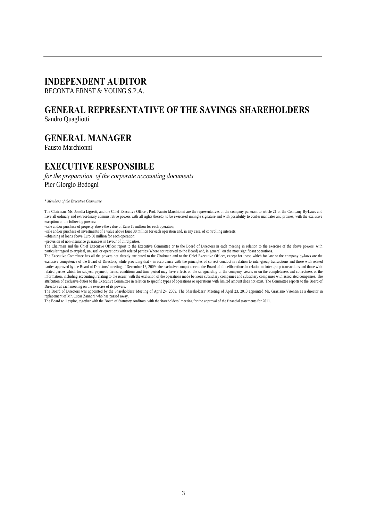# **INDEPENDENT AUDITOR**

RECONTA ERNST  $&$  YOUNG S.P.A.

# **GENERAL REPRESENTATIVE OF THE SAVINGS SHAREHOLDERS**

Sandro Quagliotti

# **GENERAL MANAGER**

Fausto Marchionni

# **EXECUTIVE RESPONSIBLE**

*for the preparation of the corporate accounting documents* Pier Giorgio Bedogni

*\* Members of the Executive Committee*

The Chairman, Ms. Jonella Ligresti, and the Chief Executive Officer, Prof. Fausto Marchionni are the representatives of the company pursuant to article 21 of the Company By-Laws and have all ordinary and extraordinary administrative powers with all rights thereto, to be exercised in single signature and with possibility to confer mandates and proxies, with the exclusive exception of the following powers:

-sale and/or purchase of property above the value of Euro 15 million for each operation;

-sale and/or purchase of investments of a value above Euro 30 million for each operation and, in any case, of controlling interests;

- obtaining of loans above Euro 50 million for each operation;

- provision of non-insurance guarantees in favour of third parties.

The Chairman and the Chief Executive Officer report to the Executive Committee or to the Board of Directors in each meeting in relation to the exercise of the above powers, with particular regard to atypical, unusual or operations with related parties (where not reserved to the Board) and, in general, on the most significant operations

The Executive Committee has all the powers not already attributed to the Chairman and to the Chief Executive Officer, except for those which for law or the company by-laws are the exclusive competence of the Board of Directors, while providing that - in accordance with the principles of correct conduct in relation to inter-group transactions and those with related parties approved by the Board of Directors' meeting of December 16, 2009 - the exclusive compet ence to the Board of all deliberations in relation to inter-group transactions and those with related parties which for subject, payment, terms, conditions and time period may have effects on the safeguarding of the company assets or on the completeness and correctness of the information, including accounting, relating to the issuer, with the exclusion of the operations made between subsidiary companies and subsidiary companies with associated companies. The attribution of exclusive duties to the Executive Committee in relation to specific types of operations or operations with limited amount does not exist. The Committee reports to the Board of Directors at each meeting on the exercise of its powers.

The Board of Directors was appointed by the Shareholders' Meeting of April 24, 2009. The Shareholders' Meeting of April 23, 2010 appointed Mr. Graziano Visentin as a director in replacement of Mr. Oscar Zannoni who has passed away.

The Board will expire, together with the Board of Statutory Auditors, with the shareholders' meeting for the approval of the financial statements for 2011.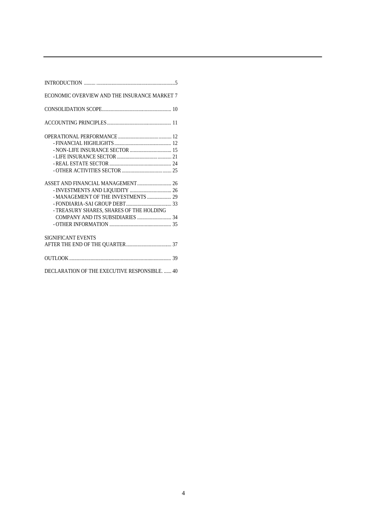| INTRODUCTION $\ldots$ $\ldots$ $\ldots$ $\ldots$ $\ldots$ $\ldots$ $\ldots$ $\ldots$ $\ldots$ $\ldots$ $\ldots$ |
|-----------------------------------------------------------------------------------------------------------------|
| ECONOMIC OVERVIEW AND THE INSURANCE MARKET 7                                                                    |
|                                                                                                                 |
|                                                                                                                 |
|                                                                                                                 |
|                                                                                                                 |
|                                                                                                                 |
|                                                                                                                 |
|                                                                                                                 |
|                                                                                                                 |
|                                                                                                                 |
| - MANAGEMENT OF THE INVESTMENTS  29                                                                             |
|                                                                                                                 |
| - TREASURY SHARES, SHARES OF THE HOLDING                                                                        |
| COMPANY AND ITS SUBSIDIARIES  34                                                                                |
|                                                                                                                 |
| SIGNIFICANT EVENTS                                                                                              |
|                                                                                                                 |
|                                                                                                                 |
|                                                                                                                 |
| DECLARATION OF THE EXECUTIVE RESPONSIBLE.  40                                                                   |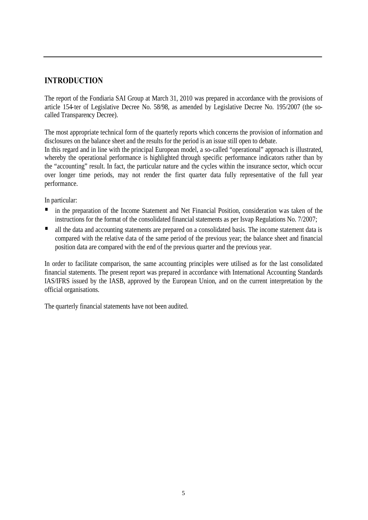# **INTRODUCTION**

The report of the Fondiaria SAI Group at March 31, 2010 was prepared in accordance with the provisions of article 154-ter of Legislative Decree No. 58/98, as amended by Legislative Decree No. 195/2007 (the socalled Transparency Decree).

The most appropriate technical form of the quarterly reports which concerns the provision of information and disclosures on the balance sheet and the results for the period is an issue still open to debate.

In this regard and in line with the principal European model, a so-called "operational" approach is illustrated, whereby the operational performance is highlighted through specific performance indicators rather than by the "accounting" result. In fact, the particular nature and the cycles within the insurance sector, which occur over longer time periods, may not render the first quarter data fully representative of the full year performance.

In particular:

- in the preparation of the Income Statement and Net Financial Position, consideration was taken of the instructions for the format of the consolidated financial statements as per Isvap Regulations No. 7/2007;
- all the data and accounting statements are prepared on a consolidated basis. The income statement data is compared with the relative data of the same period of the previous year; the balance sheet and financial position data are compared with the end of the previous quarter and the previous year.

In order to facilitate comparison, the same accounting principles were utilised as for the last consolidated financial statements. The present report was prepared in accordance with International Accounting Standards IAS/IFRS issued by the IASB, approved by the European Union, and on the current interpretation by the official organisations.

The quarterly financial statements have not been audited.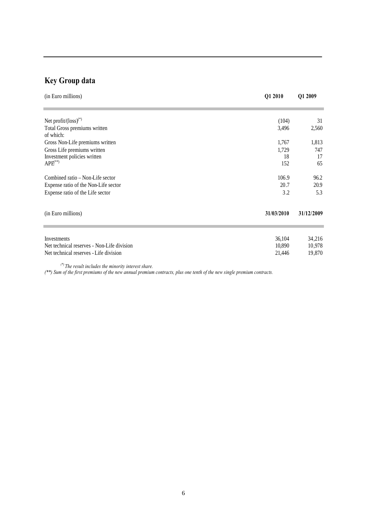# **Key Group data**

| (in Euro millions)                           | Q1 2010    | Q1 2009    |
|----------------------------------------------|------------|------------|
| Net profit/ $\left(\text{loss}\right)^{(*)}$ | (104)      | 31         |
| Total Gross premiums written<br>of which:    | 3,496      | 2,560      |
| Gross Non-Life premiums written              | 1,767      | 1,813      |
| Gross Life premiums written                  | 1,729      | 747        |
| Investment policies written                  | 18         | 17         |
| $APE$ <sup>**</sup>                          | 152        | 65         |
| Combined ratio – Non-Life sector             | 106.9      | 96.2       |
| Expense ratio of the Non-Life sector         | 20.7       | 20.9       |
| Expense ratio of the Life sector             | 3.2        | 5.3        |
| (in Euro millions)                           | 31/03/2010 | 31/12/2009 |
|                                              |            |            |
| Investments                                  | 36,104     | 34,216     |
| Net technical reserves - Non-Life division   | 10,890     | 10,978     |
| Net technical reserves - Life division       | 21,446     | 19,870     |
| (8)                                          |            |            |

*(\*) The result includes the minority interest share.*

*(\*\*) Sum of the first premiums of the new annual premium contracts, plus one tenth of the new single premium contracts.*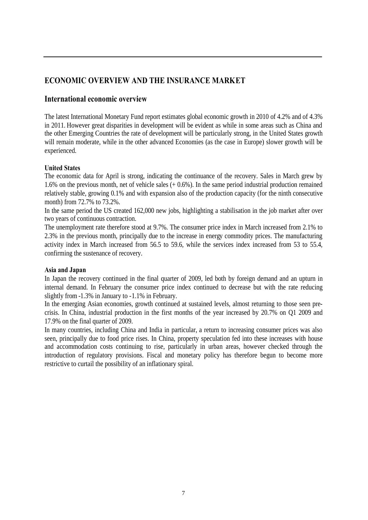# **ECONOMIC OVERVIEW AND THE INSURANCE MARKET**

# **International economic overview**

The latest International Monetary Fund report estimates global economic growth in 2010 of 4.2% and of 4.3% in 2011. However great disparities in development will be evident as while in some areas such as China and the other Emerging Countries the rate of development will be particularly strong, in the United States growth will remain moderate, while in the other advanced Economies (as the case in Europe) slower growth will be experienced.

#### **United States**

The economic data for April is strong, indicating the continuance of the recovery. Sales in March grew by 1.6% on the previous month, net of vehicle sales (+ 0.6%). In the same period industrial production remained relatively stable, growing 0.1% and with expansion also of the production capacity (for the ninth consecutive month) from 72.7% to 73.2%.

In the same period the US created 162,000 new jobs, highlighting a stabilisation in the job market after over two years of continuous contraction.

The unemployment rate therefore stood at 9.7%. The consumer price index in March increased from 2.1% to 2.3% in the previous month, principally due to the increase in energy commodity prices. The manufacturing activity index in March increased from 56.5 to 59.6, while the services index increased from 53 to 55.4, confirming the sustenance of recovery.

#### **Asia and Japan**

In Japan the recovery continued in the final quarter of 2009, led both by foreign demand and an upturn in internal demand. In February the consumer price index continued to decrease but with the rate reducing slightly from -1.3% in January to -1.1% in February.

In the emerging Asian economies, growth continued at sustained levels, almost returning to those seen precrisis. In China, industrial production in the first months of the year increased by 20.7% on Q1 2009 and 17.9% on the final quarter of 2009.

In many countries, including China and India in particular, a return to increasing consumer prices was also seen, principally due to food price rises. In China, property speculation fed into these increases with house and accommodation costs continuing to rise, particularly in urban areas, however checked through the introduction of regulatory provisions. Fiscal and monetary policy has therefore begun to become more restrictive to curtail the possibility of an inflationary spiral.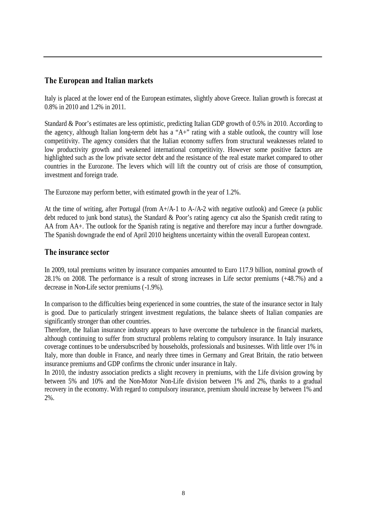# **The European and Italian markets**

Italy is placed at the lower end of the European estimates, slightly above Greece. Italian growth is forecast at 0.8% in 2010 and 1.2% in 2011.

Standard & Poor's estimates are less optimistic, predicting Italian GDP growth of 0.5% in 2010. According to the agency, although Italian long-term debt has a "A+" rating with a stable outlook, the country will lose competitivity. The agency considers that the Italian economy suffers from structural weaknesses related to low productivity growth and weakened international competitivity. However some positive factors are highlighted such as the low private sector debt and the resistance of the real estate market compared to other countries in the Eurozone. The levers which will lift the country out of crisis are those of consumption, investment and foreign trade.

The Eurozone may perform better, with estimated growth in the year of 1.2%.

At the time of writing, after Portugal (from A+/A-1 to A-/A-2 with negative outlook) and Greece (a public debt reduced to junk bond status), the Standard & Poor's rating agency cut also the Spanish credit rating to AA from AA+. The outlook for the Spanish rating is negative and therefore may incur a further downgrade. The Spanish downgrade the end of April 2010 heightens uncertainty within the overall European context.

#### **The insurance sector**

In 2009, total premiums written by insurance companies amounted to Euro 117.9 billion, nominal growth of 28.1% on 2008. The performance is a result of strong increases in Life sector premiums (+48.7%) and a decrease in Non-Life sector premiums (-1.9%).

In comparison to the difficulties being experienced in some countries, the state of the insurance sector in Italy is good. Due to particularly stringent investment regulations, the balance sheets of Italian companies are significantly stronger than other countries.

Therefore, the Italian insurance industry appears to have overcome the turbulence in the financial markets, although continuing to suffer from structural problems relating to compulsory insurance. In Italy insurance coverage continues to be undersubscribed by households, professionals and businesses. With little over 1% in Italy, more than double in France, and nearly three times in Germany and Great Britain, the ratio between insurance premiums and GDP confirms the chronic under insurance in Italy.

In 2010, the industry association predicts a slight recovery in premiums, with the Life division growing by between 5% and 10% and the Non-Motor Non-Life division between 1% and 2%, thanks to a gradual recovery in the economy. With regard to compulsory insurance, premium should increase by between 1% and 2%.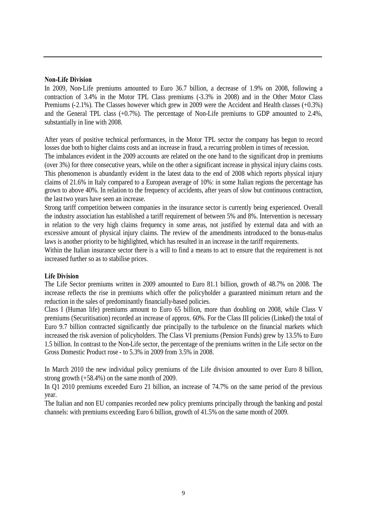#### **Non-Life Division**

In 2009, Non-Life premiums amounted to Euro 36.7 billion, a decrease of 1.9% on 2008, following a contraction of 3.4% in the Motor TPL Class premiums (-3.3% in 2008) and in the Other Motor Class Premiums (-2.1%). The Classes however which grew in 2009 were the Accident and Health classes (+0.3%) and the General TPL class (+0.7%). The percentage of Non-Life premiums to GDP amounted to 2.4%, substantially in line with 2008.

After years of positive technical performances, in the Motor TPL sector the company has begun to record losses due both to higher claims costs and an increase in fraud, a recurring problem in times of recession.

The imbalances evident in the 2009 accounts are related on the one hand to the significant drop in premiums (over 3%) for three consecutive years, while on the other a significant increase in physical injury claims costs. This phenomenon is abundantly evident in the latest data to the end of 2008 which reports physical injury claims of 21.6% in Italy compared to a European average of 10%: in some Italian regions the percentage has grown to above 40%. In relation to the frequency of accidents, after years of slow but continuous contraction, the last two years have seen an increase.

Strong tariff competition between companies in the insurance sector is currently being experienced. Overall the industry association has established a tariff requirement of between 5% and 8%. Intervention is necessary in relation to the very high claims frequency in some areas, not justified by external data and with an excessive amount of physical injury claims. The review of the amendments introduced to the bonus-malus laws is another priority to be highlighted, which has resulted in an increase in the tariff requirements.

Within the Italian insurance sector there is a will to find a means to act to ensure that the requirement is not increased further so as to stabilise prices.

#### **Life Division**

The Life Sector premiums written in 2009 amounted to Euro 81.1 billion, growth of 48.7% on 2008. The increase reflects the rise in premiums which offer the policyholder a guaranteed minimum return and the reduction in the sales of predominantly financially-based policies.

Class I (Human life) premiums amount to Euro 65 billion, more than doubling on 2008, while Class V premiums (Securitisation) recorded an increase of approx. 60%. For the Class III policies (Linked) the total of Euro 9.7 billion contracted significantly due principally to the turbulence on the financial markets which increased the risk aversion of policyholders. The Class VI premiums (Pension Funds) grew by 13.5% to Euro 1.5 billion. In contrast to the Non-Life sector, the percentage of the premiums written in the Life sector on the Gross Domestic Product rose - to 5.3% in 2009 from 3.5% in 2008.

In March 2010 the new individual policy premiums of the Life division amounted to over Euro 8 billion, strong growth (+58.4%) on the same month of 2009.

In Q1 2010 premiums exceeded Euro 21 billion, an increase of 74.7% on the same period of the previous year.

The Italian and non EU companies recorded new policy premiums principally through the banking and postal channels: with premiums exceeding Euro 6 billion, growth of 41.5% on the same month of 2009.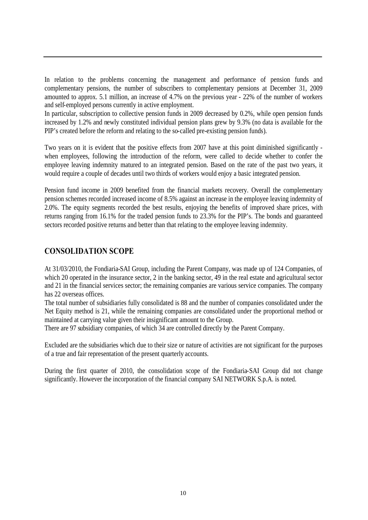In relation to the problems concerning the management and performance of pension funds and complementary pensions, the number of subscribers to complementary pensions at December 31, 2009 amounted to approx. 5.1 million, an increase of 4.7% on the previous year - 22% of the number of workers and self-employed persons currently in active employment.

In particular, subscription to collective pension funds in 2009 decreased by 0.2%, while open pension funds increased by 1.2% and newly constituted individual pension plans grew by 9.3% (no data is available for the PIP's created before the reform and relating to the so-called pre-existing pension funds).

Two years on it is evident that the positive effects from 2007 have at this point diminished significantly when employees, following the introduction of the reform, were called to decide whether to confer the employee leaving indemnity matured to an integrated pension. Based on the rate of the past two years, it would require a couple of decades until two thirds of workers would enjoy a basic integrated pension.

Pension fund income in 2009 benefited from the financial markets recovery. Overall the complementary pension schemes recorded increased income of 8.5% against an increase in the employee leaving indemnity of 2.0%. The equity segments recorded the best results, enjoying the benefits of improved share prices, with returns ranging from 16.1% for the traded pension funds to 23.3% for the PIP's. The bonds and guaranteed sectors recorded positive returns and better than that relating to the employee leaving indemnity.

### **CONSOLIDATION SCOPE**

At 31/03/2010, the Fondiaria-SAI Group, including the Parent Company, was made up of 124 Companies, of which 20 operated in the insurance sector, 2 in the banking sector, 49 in the real estate and agricultural sector and 21 in the financial services sector; the remaining companies are various service companies. The company has 22 overseas offices.

The total number of subsidiaries fully consolidated is 88 and the number of companies consolidated under the Net Equity method is 21, while the remaining companies are consolidated under the proportional method or maintained at carrying value given their insignificant amount to the Group.

There are 97 subsidiary companies, of which 34 are controlled directly by the Parent Company.

Excluded are the subsidiaries which due to their size or nature of activities are not significant for the purposes of a true and fair representation of the present quarterly accounts.

During the first quarter of 2010, the consolidation scope of the Fondiaria-SAI Group did not change significantly. However the incorporation of the financial company SAI NETWORK S.p.A. is noted.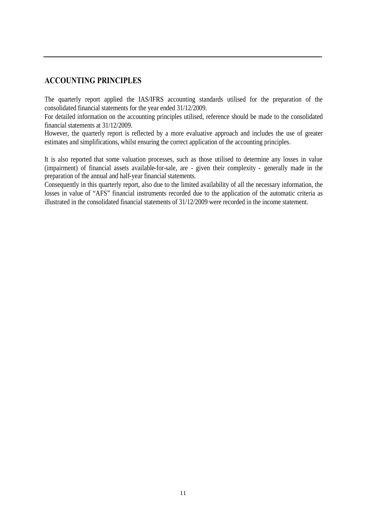# **ACCOUNTING PRINCIPLES**

The quarterly report applied the IAS/IFRS accounting standards utilised for the preparation of the consolidated financial statements for the year ended 31/12/2009.

For detailed information on the accounting principles utilised, reference should be made to the consolidated financial statements at 31/12/2009.

However, the quarterly report is reflected by a more evaluative approach and includes the use of greater estimates and simplifications, whilst ensuring the correct application of the accounting principles.

It is also reported that some valuation processes, such as those utilised to determine any losses in value (impairment) of financial assets available-for-sale, are - given their complexity - generally made in the preparation of the annual and half-year financial statements.

Consequently in this quarterly report, also due to the limited availability of all the necessary information, the losses in value of "AFS" financial instruments recorded due to the application of the automatic criteria as illustrated in the consolidated financial statements of 31/12/2009 were recorded in the income statement.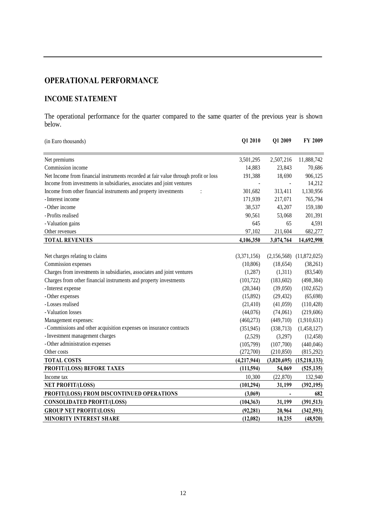# **OPERATIONAL PERFORMANCE**

# **INCOME STATEMENT**

The operational performance for the quarter compared to the same quarter of the previous year is shown below.

| (in Euro thousands)                                                                 | Q1 2010     | Q1 2009                  | FY 2009                      |
|-------------------------------------------------------------------------------------|-------------|--------------------------|------------------------------|
| Net premiums                                                                        | 3,501,295   | 2,507,216                | 11,888,742                   |
| Commission income                                                                   | 14,883      | 23,843                   | 70,686                       |
| Net Income from financial instruments recorded at fair value through profit or loss | 191,388     | 18,690                   | 906,125                      |
| Income from investments in subsidiaries, associates and joint ventures              |             |                          | 14,212                       |
| Income from other financial instruments and property investments                    | 301,682     | 313,411                  | 1,130,956                    |
| - Interest income                                                                   | 171,939     | 217,071                  | 765,794                      |
| - Other income                                                                      | 38,537      | 43,207                   | 159,180                      |
| - Profits realised                                                                  | 90,561      | 53,068                   | 201,391                      |
| - Valuation gains                                                                   | 645         | 65                       | 4,591                        |
| Other revenues                                                                      | 97,102      | 211,604                  | 682,277                      |
| <b>TOTAL REVENUES</b>                                                               | 4,106,350   | 3,074,764                | 14,692,998                   |
|                                                                                     |             |                          |                              |
| Net charges relating to claims                                                      | (3,371,156) |                          | $(2,156,568)$ $(11,872,025)$ |
| Commission expenses                                                                 | (10, 806)   | (18, 654)                | (38,261)                     |
| Charges from investments in subsidiaries, associates and joint ventures             | (1,287)     | (1,311)                  | (83,540)                     |
| Charges from other financial instruments and property investments                   | (101, 722)  | (183, 602)               | (498, 384)                   |
| - Interest expense                                                                  | (20, 344)   | (39,050)                 | (102, 652)                   |
| - Other expenses                                                                    | (15,892)    | (29, 432)                | (65, 698)                    |
| -Losses realised                                                                    | (21, 410)   | (41,059)                 | (110, 428)                   |
| - Valuation losses                                                                  | (44,076)    | (74,061)                 | (219,606)                    |
| Management expenses:                                                                | (460, 273)  | (449,710)                | (1,910,631)                  |
| - Commissions and other acquisition expenses on insurance contracts                 | (351, 945)  | (338, 713)               | (1,458,127)                  |
| - Investment management charges                                                     | (2,529)     | (3,297)                  | (12, 458)                    |
| - Other administration expenses                                                     | (105,799)   | (107,700)                | (440, 046)                   |
| Other costs                                                                         | (272,700)   | (210, 850)               | (815,292)                    |
| <b>TOTAL COSTS</b>                                                                  | (4,217,944) | (3,020,695)              | (15, 218, 133)               |
| PROFIT/(LOSS) BEFORE TAXES                                                          | (111,594)   | 54,069                   | (525, 135)                   |
| Income tax                                                                          | 10,300      | (22, 870)                | 132,940                      |
| <b>NET PROFIT/(LOSS)</b>                                                            | (101, 294)  | 31,199                   | (392, 195)                   |
| PROFIT/(LOSS) FROM DISCONTINUED OPERATIONS                                          | (3,069)     | $\overline{\phantom{a}}$ | 682                          |
| <b>CONSOLIDATED PROFIT/(LOSS)</b>                                                   | (104, 363)  | 31,199                   | (391, 513)                   |
| <b>GROUP NET PROFIT/(LOSS)</b>                                                      | (92, 281)   | 20,964                   | (342, 593)                   |
| <b>MINORITY INTEREST SHARE</b>                                                      | (12,082)    | 10,235                   | (48,920)                     |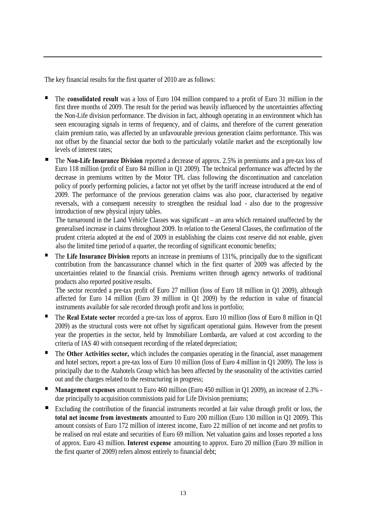The key financial results for the first quarter of 2010 are as follows:

- The **consolidated result** was a loss of Euro 104 million compared to a profit of Euro 31 million in the first three months of 2009. The result for the period was heavily influenced by the uncertainties affecting the Non-Life division performance. The division in fact, although operating in an environment which has seen encouraging signals in terms of frequency, and of claims, and therefore of the current generation claim premium ratio, was affected by an unfavourable previous generation claims performance. This was not offset by the financial sector due both to the particularly volatile market and the exceptionally low levels of interest rates;
- The **Non-Life Insurance Division** reported a decrease of approx. 2.5% in premiums and a pre-tax loss of Euro 118 million (profit of Euro 84 million in Q1 2009). The technical performance was affected by the decrease in premiums written by the Motor TPL class following the discontinuation and cancelation policy of poorly performing policies, a factor not yet offset by the tariff increase introduced at the end of 2009. The performance of the previous generation claims was also poor, characterised by negative reversals, with a consequent necessity to strengthen the residual load - also due to the progressive introduction of new physical injury tables.

The turnaround in the Land Vehicle Classes was significant – an area which remained unaffected by the generalised increase in claims throughout 2009. In relation to the General Classes, the confirmation of the prudent criteria adopted at the end of 2009 in establishing the claims cost reserve did not enable, given also the limited time period of a quarter, the recording of significant economic benefits;

 The **Life Insurance Division** reports an increase in premiums of 131%, principally due to the significant contribution from the bancassurance channel which in the first quarter of 2009 was affected by the uncertainties related to the financial crisis. Premiums written through agency networks of traditional products also reported positive results.

The sector recorded a pre-tax profit of Euro 27 million (loss of Euro 18 million in Q1 2009), although affected for Euro 14 million (Euro 39 million in Q1 2009) by the reduction in value of financial instruments available for sale recorded through profit and loss in portfolio;

- The **Real Estate sector** recorded a pre-tax loss of approx. Euro 10 million (loss of Euro 8 million in Q1 2009) as the structural costs were not offset by significant operational gains. However from the present year the properties in the sector, held by Immobiliare Lombarda, are valued at cost according to the criteria of IAS 40 with consequent recording of the related depreciation;
- The **Other Activities sector,** which includes the companies operating in the financial, asset management and hotel sectors, report a pre-tax loss of Euro 10 million (loss of Euro 4 million in Q1 2009). The loss is principally due to the Atahotels Group which has been affected by the seasonality of the activities carried out and the charges related to the restructuring in progress;
- **Management expenses** amount to Euro 460 million (Euro 450 million in Q1 2009), an increase of 2.3% due principally to acquisition commissions paid for Life Division premiums;
- Excluding the contribution of the financial instruments recorded at fair value through profit or loss, the **total net income from investments** amounted to Euro 200 million (Euro 130 million in Q1 2009). This amount consists of Euro 172 million of interest income, Euro 22 million of net income and net profits to be realised on real estate and securities of Euro 69 million. Net valuation gains and losses reported a loss of approx. Euro 43 million. **Interest expense** amounting to approx. Euro 20 million (Euro 39 million in the first quarter of 2009) refers almost entirely to financial debt;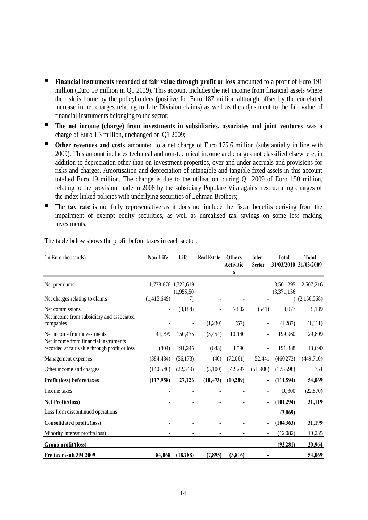- **Financial instruments recorded at fair value through profit or loss** amounted to a profit of Euro 191 million (Euro 19 million in Q1 2009). This account includes the net income from financial assets where the risk is borne by the policyholders (positive for Euro 187 million although offset by the correlated increase in net charges relating to Life Division claims) as well as the adjustment to the fair value of financial instruments belonging to the sector;
- **The net income (charge) from investments in subsidiaries, associates and joint ventures** was a charge of Euro 1.3 million, unchanged on Q1 2009;
- **Other revenues and costs** amounted to a net charge of Euro 175.6 million (substantially in line with 2009). This amount includes technical and non-technical income and charges not classified elsewhere, in addition to depreciation other than on investment properties, over and under accruals and provisions for risks and charges. Amortisation and depreciation of intangible and tangible fixed assets in this account totalled Euro 19 million. The change is due to the utilisation, during Q1 2009 of Euro 150 million, relating to the provision made in 2008 by the subsidiary Popolare Vita against restructuring charges of the index linked policies with underlying securities of Lehman Brothers;
- The **tax rate** is not fully representative as it does not include the fiscal benefits deriving from the impairment of exempt equity securities, as well as unrealised tax savings on some loss making investments.

| (in Euro thousands)                                                  | Non-Life    | Life                              | <b>Real Estate</b> | <b>Others</b><br>Activitie<br>S | Inter-<br><b>Sector</b> | Total                    | <b>Total</b><br>31/03/2010 31/03/2009 |
|----------------------------------------------------------------------|-------------|-----------------------------------|--------------------|---------------------------------|-------------------------|--------------------------|---------------------------------------|
| Net premiums                                                         |             | 1,778,676 1,722,619<br>(1,955,50) |                    |                                 |                         | 3,501,295<br>(3,371,156) | 2,507,216                             |
| Net charges relating to claims                                       | (1,415,649) | 7)                                |                    |                                 |                         |                          | (2,156,568)                           |
| Net commissions<br>Net income from subsidiary and associated         |             | (3,184)                           |                    | 7,802                           | (541)                   | 4,077                    | 5,189                                 |
| companies                                                            |             |                                   | (1,230)            | (57)                            |                         | (1,287)                  | (1,311)                               |
| Net income from investments<br>Net Income from financial instruments | 44,799      | 150,475                           | (5,454)            | 10,140                          |                         | 199,960                  | 129,809                               |
| recorded at fair value through profit or loss                        | (804)       | 191,245                           | (643)              | 1,590                           |                         | 191,388                  | 18,690                                |
| Management expenses                                                  | (384, 434)  | (56,173)                          | (46)               | (72,061)                        | 52,441                  | (460, 273)               | (449, 710)                            |
| Other income and charges                                             | (140, 546)  | (22, 349)                         | (3,100)            | 42,297                          | (51,900)                | (175,598)                | 754                                   |
| Profit (loss) before taxes                                           | (117,958)   | 27,126                            | (10, 473)          | (10, 289)                       |                         | (111, 594)               | 54,069                                |
| Income taxes                                                         |             |                                   |                    |                                 |                         | 10,300                   | (22, 870)                             |
| Net Profit/(loss)                                                    |             |                                   |                    |                                 |                         | (101, 294)               | 31,119                                |
| Loss from discontinued operations                                    |             |                                   |                    |                                 |                         | (3,069)                  |                                       |
| Consolidated profit/(loss)                                           |             |                                   |                    |                                 |                         | (104, 363)               | 31,199                                |
| Minority interest profit/(loss)                                      |             |                                   |                    |                                 |                         | (12,082)                 | 10,235                                |
| Group profit/(loss)                                                  |             |                                   |                    |                                 |                         | (92, 281)                | 20,964                                |
| Pre tax result 3M 2009                                               | 84,068      | (18, 288)                         | (7, 895)           | (3, 816)                        |                         |                          | 54,069                                |

The table below shows the profit before taxes in each sector: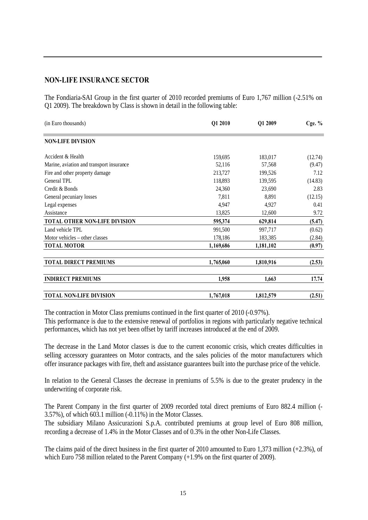#### **NON-LIFE INSURANCE SECTOR**

The Fondiaria-SAI Group in the first quarter of 2010 recorded premiums of Euro 1,767 million (-2.51% on Q1 2009). The breakdown by Class is shown in detail in the following table:

| (in Euro thousands)                      | Q1 2010   | Q1 2009   | Cge. $%$ |
|------------------------------------------|-----------|-----------|----------|
| <b>NON-LIFE DIVISION</b>                 |           |           |          |
| Accident & Health                        | 159,695   | 183,017   | (12.74)  |
| Marine, aviation and transport insurance | 52,116    | 57,568    | (9.47)   |
| Fire and other property damage           | 213,727   | 199,526   | 7.12     |
| General TPL                              | 118,893   | 139,595   | (14.83)  |
| Credit & Bonds                           | 24,360    | 23,690    | 2.83     |
| General pecuniary losses                 | 7,811     | 8,891     | (12.15)  |
| Legal expenses                           | 4,947     | 4,927     | 0.41     |
| Assistance                               | 13,825    | 12,600    | 9.72     |
| TOTAL OTHER NON-LIFE DIVISION            | 595,374   | 629,814   | (5.47)   |
| Land vehicle TPL                         | 991,500   | 997,717   | (0.62)   |
| Motor vehicles – other classes           | 178,186   | 183,385   | (2.84)   |
| <b>TOTAL MOTOR</b>                       | 1,169,686 | 1,181,102 | (0.97)   |
| <b>TOTAL DIRECT PREMIUMS</b>             | 1,765,060 | 1,810,916 | (2.53)   |
| <b>INDIRECT PREMIUMS</b>                 | 1,958     | 1,663     | 17.74    |
| <b>TOTAL NON-LIFE DIVISION</b>           | 1,767,018 | 1,812,579 | (2.51)   |

The contraction in Motor Class premiums continued in the first quarter of 2010 (-0.97%).

This performance is due to the extensive renewal of portfolios in regions with particularly negative technical performances, which has not yet been offset by tariff increases introduced at the end of 2009.

The decrease in the Land Motor classes is due to the current economic crisis, which creates difficulties in selling accessory guarantees on Motor contracts, and the sales policies of the motor manufacturers which offer insurance packages with fire, theft and assistance guarantees built into the purchase price of the vehicle.

In relation to the General Classes the decrease in premiums of 5.5% is due to the greater prudency in the underwriting of corporate risk.

The Parent Company in the first quarter of 2009 recorded total direct premiums of Euro 882.4 million (- 3.57%), of which 603.1 million (-0.11%) in the Motor Classes.

The subsidiary Milano Assicurazioni S.p.A. contributed premiums at group level of Euro 808 million, recording a decrease of 1.4% in the Motor Classes and of 0.3% in the other Non-Life Classes.

The claims paid of the direct business in the first quarter of 2010 amounted to Euro 1,373 million (+2.3%), of which Euro 758 million related to the Parent Company (+1.9% on the first quarter of 2009).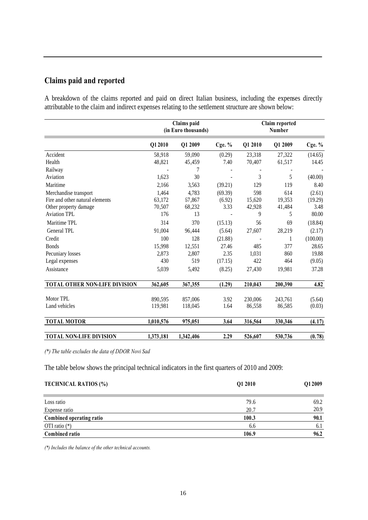# **Claims paid and reported**

A breakdown of the claims reported and paid on direct Italian business, including the expenses directly attributable to the claim and indirect expenses relating to the settlement structure are shown below:

|                                                                                   | (in Euro thousands)<br>Number |                           |                           |                         |                         |                           | Claims paid<br>Claim reported |  |  |  |  |  |  |
|-----------------------------------------------------------------------------------|-------------------------------|---------------------------|---------------------------|-------------------------|-------------------------|---------------------------|-------------------------------|--|--|--|--|--|--|
|                                                                                   | Q12010                        | Q1 2009                   | Cge. $%$                  | Q1 2010                 | Q1 2009                 | Cge. $%$                  |                               |  |  |  |  |  |  |
| Accident                                                                          | 58,918                        | 59,090                    | (0.29)                    | 23,318                  | 27,322                  | (14.65)                   |                               |  |  |  |  |  |  |
| Health                                                                            | 48,821                        | 45,459                    | 7.40                      | 70,407                  | 61,517                  | 14.45                     |                               |  |  |  |  |  |  |
| Railway                                                                           |                               |                           |                           |                         |                         |                           |                               |  |  |  |  |  |  |
| Aviation                                                                          | 1,623                         | 30                        |                           | 3                       | 5                       | (40.00)                   |                               |  |  |  |  |  |  |
| Maritime                                                                          | 2,166                         | 3,563                     | (39.21)                   | 129                     | 119                     | 8.40                      |                               |  |  |  |  |  |  |
| Merchandise transport<br>Fire and other natural elements<br>Other property damage | 1,464<br>63,172<br>70,507     | 4,783<br>67,867<br>68,232 | (69.39)<br>(6.92)<br>3.33 | 598<br>15,620<br>42,928 | 614<br>19,353<br>41,484 | (2.61)<br>(19.29)<br>3.48 |                               |  |  |  |  |  |  |
| <b>Aviation TPL</b>                                                               | 176                           | 13                        |                           | 9                       | 5                       | 80.00                     |                               |  |  |  |  |  |  |
| Maritime TPL                                                                      | 314                           | 370                       | (15.13)                   | 56                      | 69                      | (18.84)                   |                               |  |  |  |  |  |  |
| General TPL                                                                       | 91,004                        | 96,444                    | (5.64)                    | 27,607                  | 28,219                  | (2.17)                    |                               |  |  |  |  |  |  |
| Credit                                                                            | 100                           | 128                       | (21.88)                   |                         | 1                       | (100.00)                  |                               |  |  |  |  |  |  |
| <b>Bonds</b>                                                                      | 15,998                        | 12,551                    | 27.46                     | 485                     | 377                     | 28.65                     |                               |  |  |  |  |  |  |
| Pecuniary losses                                                                  | 2,873                         | 2,807                     | 2.35                      | 1,031                   | 860                     | 19.88                     |                               |  |  |  |  |  |  |
| Legal expenses                                                                    | 430                           | 519                       | (17.15)                   | 422                     | 464                     | (9.05)                    |                               |  |  |  |  |  |  |
| Assistance                                                                        | 5,039                         | 5,492                     | (8.25)                    | 27,430                  | 19,981                  | 37.28                     |                               |  |  |  |  |  |  |
| TOTAL OTHER NON-LIFE DIVISION                                                     | 362,605                       | 367,355                   | (1.29)                    | 210,043                 | 200,390                 | 4.82                      |                               |  |  |  |  |  |  |
| Motor TPL                                                                         | 890,595                       | 857,006                   | 3.92                      | 230,006                 | 243,761                 | (5.64)                    |                               |  |  |  |  |  |  |
| Land vehicles                                                                     | 119,981                       | 118,045                   | 1.64                      | 86,558                  | 86,585                  | (0.03)                    |                               |  |  |  |  |  |  |
| <b>TOTAL MOTOR</b>                                                                | 1,010,576                     | 975,051                   | 3.64                      | 316,564                 | 330,346                 | (4.17)                    |                               |  |  |  |  |  |  |
| <b>TOTAL NON-LIFE DIVISION</b>                                                    | 1,373,181                     | 1,342,406                 | 2.29                      | 526,607                 | 530,736                 | (0.78)                    |                               |  |  |  |  |  |  |

*(\*) The table excludes the data of DDOR Novi Sad*

The table below shows the principal technical indicators in the first quarters of 2010 and 2009:

| <b>TECHNICAL RATIOS (%)</b> | Q1 2010 | Q12009 |
|-----------------------------|---------|--------|
|                             |         |        |
| Loss ratio                  | 79.6    | 69.2   |
| Expense ratio               | 20.7    | 20.9   |
| Combined operating ratio    | 100.3   | 90.1   |
| OTI ratio $(*)$             | 6.6     | 6.1    |
| <b>Combined ratio</b>       | 106.9   | 96.2   |

*(\*) Includes the balance of the other technical accounts.*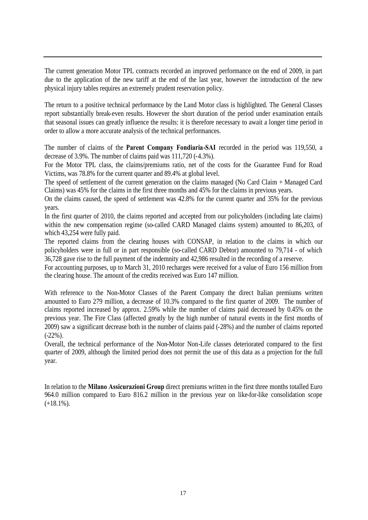The current generation Motor TPL contracts recorded an improved performance on the end of 2009, in part due to the application of the new tariff at the end of the last year, however the introduction of the new physical injury tables requires an extremely prudent reservation policy.

The return to a positive technical performance by the Land Motor class is highlighted. The General Classes report substantially break-even results. However the short duration of the period under examination entails that seasonal issues can greatly influence the results: it is therefore necessary to await a longer time period in order to allow a more accurate analysis of the technical performances.

The number of claims of the **Parent Company Fondiaria-SAI** recorded in the period was 119,550, a decrease of 3.9%. The number of claims paid was 111,720 (-4.3%).

For the Motor TPL class, the claims/premiums ratio, net of the costs for the Guarantee Fund for Road Victims, was 78.8% for the current quarter and 89.4% at global level.

The speed of settlement of the current generation on the claims managed (No Card Claim + Managed Card Claims) was 45% for the claims in the first three months and 45% for the claims in previous years.

On the claims caused, the speed of settlement was 42.8% for the current quarter and 35% for the previous years.

In the first quarter of 2010, the claims reported and accepted from our policyholders (including late claims) within the new compensation regime (so-called CARD Managed claims system) amounted to 86,203, of which 43,254 were fully paid.

The reported claims from the clearing houses with CONSAP, in relation to the claims in which our policyholders were in full or in part responsible (so-called CARD Debtor) amounted to 79,714 - of which 36,728 gave rise to the full payment of the indemnity and 42,986 resulted in the recording of a reserve.

For accounting purposes, up to March 31, 2010 recharges were received for a value of Euro 156 million from the clearing house. The amount of the credits received was Euro 147 million.

With reference to the Non-Motor Classes of the Parent Company the direct Italian premiums written amounted to Euro 279 million, a decrease of 10.3% compared to the first quarter of 2009. The number of claims reported increased by approx. 2.59% while the number of claims paid decreased by 0.45% on the previous year. The Fire Class (affected greatly by the high number of natural events in the first months of 2009) saw a significant decrease both in the number of claims paid (-28%) and the number of claims reported (-22%).

Overall, the technical performance of the Non-Motor Non-Life classes deteriorated compared to the first quarter of 2009, although the limited period does not permit the use of this data as a projection for the full year.

In relation to the **Milano Assicurazioni Group** direct premiums written in the first three months totalled Euro 964.0 million compared to Euro 816.2 million in the previous year on like-for-like consolidation scope  $(+18.1\%)$ .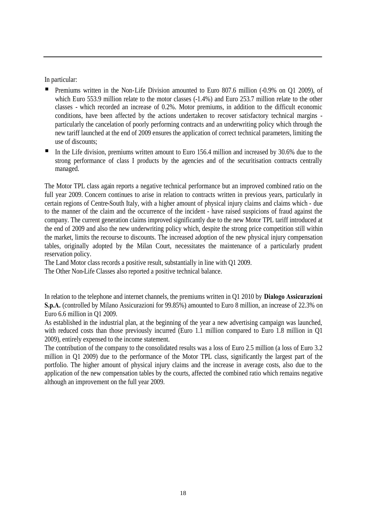In particular:

- Premiums written in the Non-Life Division amounted to Euro 807.6 million (-0.9% on Q1 2009), of which Euro 553.9 million relate to the motor classes  $(-1.4%)$  and Euro 253.7 million relate to the other classes - which recorded an increase of 0.2%. Motor premiums, in addition to the difficult economic conditions, have been affected by the actions undertaken to recover satisfactory technical margins particularly the cancelation of poorly performing contracts and an underwriting policy which through the new tariff launched at the end of 2009 ensures the application of correct technical parameters, limiting the use of discounts;
- In the Life division, premiums written amount to Euro 156.4 million and increased by 30.6% due to the strong performance of class I products by the agencies and of the securitisation contracts centrally managed.

The Motor TPL class again reports a negative technical performance but an improved combined ratio on the full year 2009. Concern continues to arise in relation to contracts written in previous years, particularly in certain regions of Centre-South Italy, with a higher amount of physical injury claims and claims which - due to the manner of the claim and the occurrence of the incident - have raised suspicions of fraud against the company. The current generation claims improved significantly due to the new Motor TPL tariff introduced at the end of 2009 and also the new underwriting policy which, despite the strong price competition still within the market, limits the recourse to discounts. The increased adoption of the new physical injury compensation tables, originally adopted by the Milan Court, necessitates the maintenance of a particularly prudent reservation policy.

The Land Motor class records a positive result, substantially in line with Q1 2009.

The Other Non-Life Classes also reported a positive technical balance.

In relation to the telephone and internet channels, the premiums written in Q1 2010 by **Dialogo Assicurazioni S.p.A.** (controlled by Milano Assicurazioni for 99.85%) amounted to Euro 8 million, an increase of 22.3% on Euro 6.6 million in Q1 2009.

As established in the industrial plan, at the beginning of the year a new advertising campaign was launched, with reduced costs than those previously incurred (Euro 1.1 million compared to Euro 1.8 million in Q1 2009), entirely expensed to the income statement.

The contribution of the company to the consolidated results was a loss of Euro 2.5 million (a loss of Euro 3.2 million in Q1 2009) due to the performance of the Motor TPL class, significantly the largest part of the portfolio. The higher amount of physical injury claims and the increase in average costs, also due to the application of the new compensation tables by the courts, affected the combined ratio which remains negative although an improvement on the full year 2009.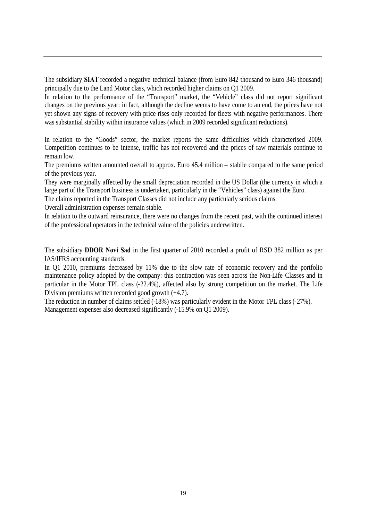The subsidiary **SIAT** recorded a negative technical balance (from Euro 842 thousand to Euro 346 thousand) principally due to the Land Motor class, which recorded higher claims on Q1 2009.

In relation to the performance of the "Transport" market, the "Vehicle" class did not report significant changes on the previous year: in fact, although the decline seems to have come to an end, the prices have not yet shown any signs of recovery with price rises only recorded for fleets with negative performances. There was substantial stability within insurance values (which in 2009 recorded significant reductions).

In relation to the "Goods" sector, the market reports the same difficulties which characterised 2009. Competition continues to be intense, traffic has not recovered and the prices of raw materials continue to remain low.

The premiums written amounted overall to approx. Euro 45.4 million – stabile compared to the same period of the previous year.

They were marginally affected by the small depreciation recorded in the US Dollar (the currency in which a large part of the Transport business is undertaken, particularly in the "Vehicles" class) against the Euro.

The claims reported in the Transport Classes did not include any particularly serious claims.

Overall administration expenses remain stable.

In relation to the outward reinsurance, there were no changes from the recent past, with the continued interest of the professional operators in the technical value of the policies underwritten.

The subsidiary **DDOR Novi Sad** in the first quarter of 2010 recorded a profit of RSD 382 million as per IAS/IFRS accounting standards.

In Q1 2010, premiums decreased by 11% due to the slow rate of economic recovery and the portfolio maintenance policy adopted by the company: this contraction was seen across the Non-Life Classes and in particular in the Motor TPL class (-22.4%), affected also by strong competition on the market. The Life Division premiums written recorded good growth (+4.7).

The reduction in number of claims settled (-18%) was particularly evident in the Motor TPL class (-27%). Management expenses also decreased significantly (-15.9% on Q1 2009).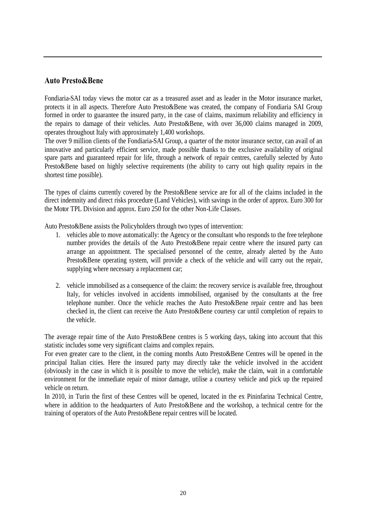# **Auto Presto&Bene**

Fondiaria-SAI today views the motor car as a treasured asset and as leader in the Motor insurance market, protects it in all aspects. Therefore Auto Presto&Bene was created, the company of Fondiaria SAI Group formed in order to guarantee the insured party, in the case of claims, maximum reliability and efficiency in the repairs to damage of their vehicles. Auto Presto&Bene, with over 36,000 claims managed in 2009, operates throughout Italy with approximately 1,400 workshops.

The over 9 million clients of the Fondiaria-SAI Group, a quarter of the motor insurance sector, can avail of an innovative and particularly efficient service, made possible thanks to the exclusive availability of original spare parts and guaranteed repair for life, through a network of repair centres, carefully selected by Auto Presto&Bene based on highly selective requirements (the ability to carry out high quality repairs in the shortest time possible).

The types of claims currently covered by the Presto&Bene service are for all of the claims included in the direct indemnity and direct risks procedure (Land Vehicles), with savings in the order of approx. Euro 300 for the Motor TPL Division and approx. Euro 250 for the other Non-Life Classes.

Auto Presto&Bene assists the Policyholders through two types of intervention:

- 1. vehicles able to move automatically: the Agency or the consultant who responds to the free telephone number provides the details of the Auto Presto&Bene repair centre where the insured party can arrange an appointment. The specialised personnel of the centre, already alerted by the Auto Presto&Bene operating system, will provide a check of the vehicle and will carry out the repair, supplying where necessary a replacement car;
- 2. vehicle immobilised as a consequence of the claim: the recovery service is available free, throughout Italy, for vehicles involved in accidents immobilised, organised by the consultants at the free telephone number. Once the vehicle reaches the Auto Presto&Bene repair centre and has been checked in, the client can receive the Auto Presto&Bene courtesy car until completion of repairs to the vehicle.

The average repair time of the Auto Presto&Bene centres is 5 working days, taking into account that this statistic includes some very significant claims and complex repairs.

For even greater care to the client, in the coming months Auto Presto&Bene Centres will be opened in the principal Italian cities. Here the insured party may directly take the vehicle involved in the accident (obviously in the case in which it is possible to move the vehicle), make the claim, wait in a comfortable environment for the immediate repair of minor damage, utilise a courtesy vehicle and pick up the repaired vehicle on return.

In 2010, in Turin the first of these Centres will be opened, located in the ex Pininfarina Technical Centre, where in addition to the headquarters of Auto Presto&Bene and the workshop, a technical centre for the training of operators of the Auto Presto&Bene repair centres will be located.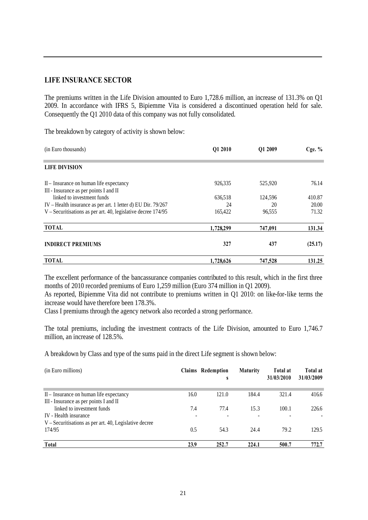#### **LIFE INSURANCE SECTOR**

The premiums written in the Life Division amounted to Euro 1,728.6 million, an increase of 131.3% on Q1 2009. In accordance with IFRS 5, Bipiemme Vita is considered a discontinued operation held for sale. Consequently the Q1 2010 data of this company was not fully consolidated.

The breakdown by category of activity is shown below:

| (in Euro thousands)                                             | Q1 2010   | Q1 2009 | Cge. $%$ |
|-----------------------------------------------------------------|-----------|---------|----------|
| <b>LIFE DIVISION</b>                                            |           |         |          |
| II – Insurance on human life expectancy                         | 926,335   | 525,920 | 76.14    |
| III - Insurance as per points I and II                          |           |         |          |
| linked to investment funds                                      | 636,518   | 124,596 | 410.87   |
| IV - Health insurance as per art. 1 letter d) EU Dir. 79/267    | 24        | 20      | 20.00    |
| $V$ – Securitisations as per art. 40, legislative decree 174/95 | 165,422   | 96,555  | 71.32    |
| <b>TOTAL</b>                                                    | 1,728,299 | 747,091 | 131.34   |
| <b>INDIRECT PREMIUMS</b>                                        | 327       | 437     | (25.17)  |
| <b>TOTAL</b>                                                    | 1,728,626 | 747,528 | 131.25   |

The excellent performance of the bancassurance companies contributed to this result, which in the first three months of 2010 recorded premiums of Euro 1,259 million (Euro 374 million in Q1 2009).

As reported, Bipiemme Vita did not contribute to premiums written in Q1 2010: on like-for-like terms the increase would have therefore been 178.3%.

Class I premiums through the agency network also recorded a strong performance.

The total premiums, including the investment contracts of the Life Division, amounted to Euro 1,746.7 million, an increase of 128.5%.

A breakdown by Class and type of the sums paid in the direct Life segment is shown below:

| (in Euro millions)                                                                |          | Claims Redemption<br>S | <b>Maturity</b>                  | Total at<br>31/03/2010 | Total at<br>31/03/2009 |
|-----------------------------------------------------------------------------------|----------|------------------------|----------------------------------|------------------------|------------------------|
| II – Insurance on human life expectancy<br>III - Insurance as per points I and II | 16.0     | 121.0                  | 184.4                            | 321.4                  | 416.6                  |
| linked to investment funds<br>IV - Health insurance                               | 7.4<br>٠ | 77.4<br>٠              | 15.3<br>$\overline{\phantom{a}}$ | 100.1<br>٠             | 226.6                  |
| $V -$ Securitisations as per art. 40, Legislative decree<br>174/95                | 0.5      | 54.3                   | 24.4                             | 79.2                   | 129.5                  |
| <b>Total</b>                                                                      | 23.9     | 252.7                  | 224.1                            | 500.7                  | 772.7                  |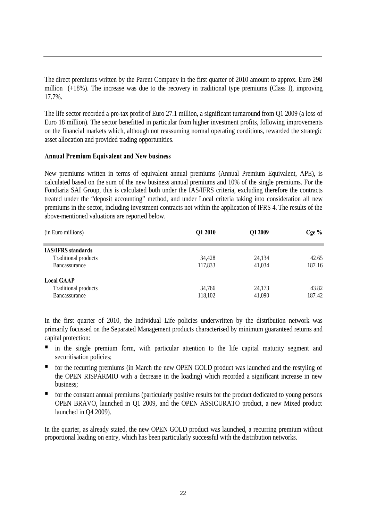The direct premiums written by the Parent Company in the first quarter of 2010 amount to approx. Euro 298 million (+18%). The increase was due to the recovery in traditional type premiums (Class I), improving 17.7%.

The life sector recorded a pre-tax profit of Euro 27.1 million, a significant turnaround from Q1 2009 (a loss of Euro 18 million). The sector benefitted in particular from higher investment profits, following improvements on the financial markets which, although not reassuming normal operating conditions, rewarded the strategic asset allocation and provided trading opportunities.

#### **Annual Premium Equivalent and New business**

New premiums written in terms of equivalent annual premiums (Annual Premium Equivalent, APE), is calculated based on the sum of the new business annual premiums and 10% of the single premiums. For the Fondiaria SAI Group, this is calculated both under the IAS/IFRS criteria, excluding therefore the contracts treated under the "deposit accounting" method, and under Local criteria taking into consideration all new premiums in the sector, including investment contracts not within the application of IFRS 4. The results of the above-mentioned valuations are reported below.

| (in Euro millions)        | Q1 2010 | Q1 2009 | $Cge\%$ |
|---------------------------|---------|---------|---------|
| <b>IAS/IFRS</b> standards |         |         |         |
| Traditional products      | 34,428  | 24,134  | 42.65   |
| Bancassurance             | 117,833 | 41,034  | 187.16  |
| <b>Local GAAP</b>         |         |         |         |
| Traditional products      | 34,766  | 24,173  | 43.82   |
| Bancassurance             | 118,102 | 41,090  | 187.42  |

In the first quarter of 2010, the Individual Life policies underwritten by the distribution network was primarily focussed on the Separated Management products characterised by minimum guaranteed returns and capital protection:

- in the single premium form, with particular attention to the life capital maturity segment and securitisation policies;
- **for the recurring premiums (in March the new OPEN GOLD product was launched and the restyling of** the OPEN RISPARMIO with a decrease in the loading) which recorded a significant increase in new business;
- for the constant annual premiums (particularly positive results for the product dedicated to young persons OPEN BRAVO, launched in Q1 2009, and the OPEN ASSICURATO product, a new Mixed product launched in Q4 2009).

In the quarter, as already stated, the new OPEN GOLD product was launched, a recurring premium without proportional loading on entry, which has been particularly successful with the distribution networks.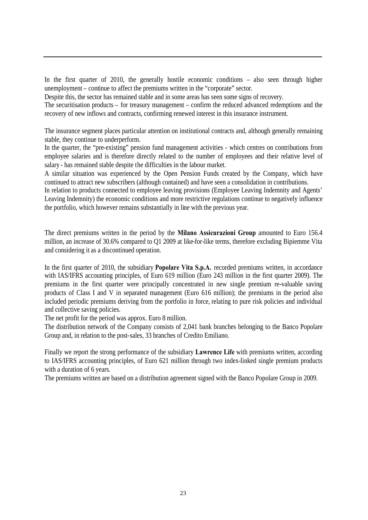In the first quarter of 2010, the generally hostile economic conditions – also seen through higher unemployment – continue to affect the premiums written in the "corporate" sector.

Despite this, the sector has remained stable and in some areas has seen some signs of recovery.

The securitisation products – for treasury management – confirm the reduced advanced redemptions and the recovery of new inflows and contracts, confirming renewed interest in this insurance instrument.

The insurance segment places particular attention on institutional contracts and, although generally remaining stable, they continue to underperform.

In the quarter, the "pre-existing" pension fund management activities - which centres on contributions from employee salaries and is therefore directly related to the number of employees and their relative level of salary - has remained stable despite the difficulties in the labour market.

A similar situation was experienced by the Open Pension Funds created by the Company, which have continued to attract new subscribers (although contained) and have seen a consolidation in contributions.

In relation to products connected to employee leaving provisions (Employee Leaving Indemnity and Agents' Leaving Indemnity) the economic conditions and more restrictive regulations continue to negatively influence the portfolio, which however remains substantially in line with the previous year.

The direct premiums written in the period by the **Milano Assicurazioni Group** amounted to Euro 156.4 million, an increase of 30.6% compared to Q1 2009 at like-for-like terms, therefore excluding Bipiemme Vita and considering it as a discontinued operation.

In the first quarter of 2010, the subsidiary **Popolare Vita S.p.A.** recorded premiums written, in accordance with IAS/IFRS accounting principles, of Euro 619 million (Euro 243 million in the first quarter 2009). The premiums in the first quarter were principally concentrated in new single premium re-valuable saving products of Class I and V in separated management (Euro 616 million); the premiums in the period also included periodic premiums deriving from the portfolio in force, relating to pure risk policies and individual and collective saving policies.

The net profit for the period was approx. Euro 8 million.

The distribution network of the Company consists of 2,041 bank branches belonging to the Banco Popolare Group and, in relation to the post-sales, 33 branches of Credito Emiliano.

Finally we report the strong performance of the subsidiary **Lawrence Life** with premiums written, according to IAS/IFRS accounting principles, of Euro 621 million through two index-linked single premium products with a duration of 6 years.

The premiums written are based on a distribution agreement signed with the Banco Popolare Group in 2009.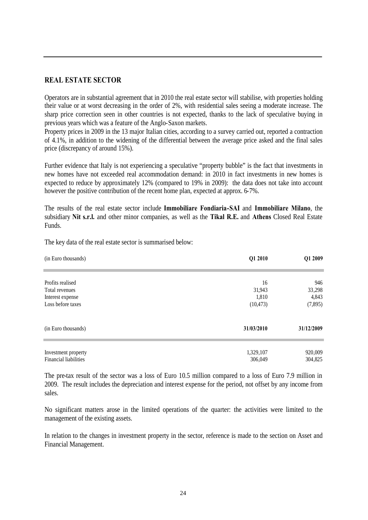#### **REAL ESTATE SECTOR**

Operators are in substantial agreement that in 2010 the real estate sector will stabilise, with properties holding their value or at worst decreasing in the order of 2%, with residential sales seeing a moderate increase. The sharp price correction seen in other countries is not expected, thanks to the lack of speculative buying in previous years which was a feature of the Anglo-Saxon markets.

Property prices in 2009 in the 13 major Italian cities, according to a survey carried out, reported a contraction of 4.1%, in addition to the widening of the differential between the average price asked and the final sales price (discrepancy of around 15%).

Further evidence that Italy is not experiencing a speculative "property bubble" is the fact that investments in new homes have not exceeded real accommodation demand: in 2010 in fact investments in new homes is expected to reduce by approximately 12% (compared to 19% in 2009): the data does not take into account however the positive contribution of the recent home plan, expected at approx. 6-7%.

The results of the real estate sector include **Immobiliare Fondiaria-SAI** and **Immobiliare Milano**, the subsidiary **Nit s.r.l.** and other minor companies, as well as the **Tikal R.E.** and **Athens** Closed Real Estate Funds.

| (in Euro thousands)          | Q1 2010    | Q1 2009    |
|------------------------------|------------|------------|
|                              |            |            |
| Profits realised             | 16         | 946        |
| Total revenues               | 31,943     | 33,298     |
| Interest expense             | 1,810      | 4,843      |
| Loss before taxes            | (10, 473)  | (7,895)    |
| (in Euro thousands)          | 31/03/2010 | 31/12/2009 |
|                              |            |            |
| Investment property          | 1,329,107  | 920,009    |
| <b>Financial liabilities</b> | 306,049    | 304,825    |

The key data of the real estate sector is summarised below:

The pre-tax result of the sector was a loss of Euro 10.5 million compared to a loss of Euro 7.9 million in 2009. The result includes the depreciation and interest expense for the period, not offset by any income from sales.

No significant matters arose in the limited operations of the quarter: the activities were limited to the management of the existing assets.

In relation to the changes in investment property in the sector, reference is made to the section on Asset and Financial Management.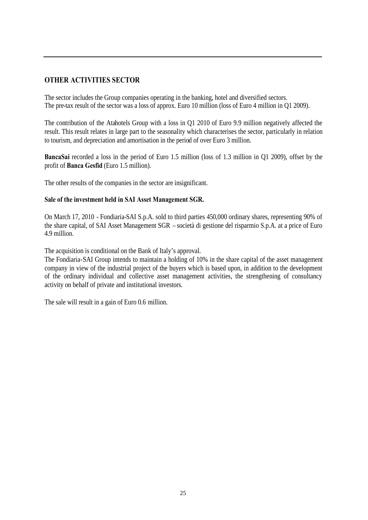# **OTHER ACTIVITIES SECTOR**

The sector includes the Group companies operating in the banking, hotel and diversified sectors. The pre-tax result of the sector was a loss of approx. Euro 10 million (loss of Euro 4 million in Q1 2009).

The contribution of the Atahotels Group with a loss in Q1 2010 of Euro 9.9 million negatively affected the result. This result relates in large part to the seasonality which characterises the sector, particularly in relation to tourism, and depreciation and amortisation in the period of over Euro 3 million.

**BancaSai** recorded a loss in the period of Euro 1.5 million (loss of 1.3 million in Q1 2009), offset by the profit of **Banca Gesfid** (Euro 1.5 million).

The other results of the companies in the sector are insignificant.

#### **Sale of the investment held in SAI Asset Management SGR.**

On March 17, 2010 - Fondiaria-SAI S.p.A. sold to third parties 450,000 ordinary shares, representing 90% of the share capital, of SAI Asset Management SGR – società di gestione del risparmio S.p.A. at a price of Euro 4.9 million.

The acquisition is conditional on the Bank of Italy's approval.

The Fondiaria-SAI Group intends to maintain a holding of 10% in the share capital of the asset management company in view of the industrial project of the buyers which is based upon, in addition to the development of the ordinary individual and collective asset management activities, the strengthening of consultancy activity on behalf of private and institutional investors.

The sale will result in a gain of Euro 0.6 million.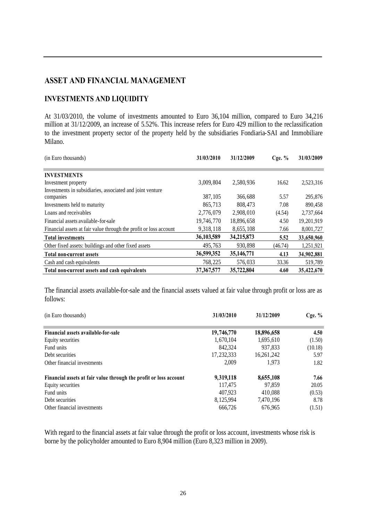# **ASSET AND FINANCIAL MANAGEMENT**

# **INVESTMENTS AND LIQUIDITY**

At 31/03/2010, the volume of investments amounted to Euro 36,104 million, compared to Euro 34,216 million at 31/12/2009, an increase of 5.52%. This increase refers for Euro 429 million to the reclassification to the investment property sector of the property held by the subsidiaries Fondiaria-SAI and Immobiliare Milano.

| (in Euro thousands)                                               | 31/03/2010   | 31/12/2009   | $C$ ge. $%$ | 31/03/2009 |
|-------------------------------------------------------------------|--------------|--------------|-------------|------------|
|                                                                   |              |              |             |            |
| <b>INVESTMENTS</b>                                                |              |              |             |            |
| Investment property                                               | 3,009,804    | 2,580,936    | 16.62       | 2,523,316  |
| Investments in subsidiaries, associated and joint venture         |              |              |             |            |
| companies                                                         | 387, 105     | 366,688      | 5.57        | 295,876    |
| Investments held to maturity                                      | 865,713      | 808,473      | 7.08        | 890,458    |
| Loans and receivables                                             | 2,776,079    | 2,908,010    | (4.54)      | 2,737,664  |
| Financial assets available-for-sale                               | 19,746,770   | 18,896,658   | 4.50        | 19,201,919 |
| Financial assets at fair value through the profit or loss account | 9,318,118    | 8,655,108    | 7.66        | 8,001,727  |
| <b>Total investments</b>                                          | 36,103,589   | 34,215,873   | 5.52        | 33,650,960 |
| Other fixed assets: buildings and other fixed assets              | 495,763      | 930.898      | (46.74)     | 1,251,921  |
| <b>Total non-current assets</b>                                   | 36,599,352   | 35, 146, 771 | 4.13        | 34,902,881 |
| Cash and cash equivalents                                         | 768.225      | 576,033      | 33.36       | 519,789    |
| Total non-current assets and cash equivalents                     | 37, 367, 577 | 35,722,804   | 4.60        | 35,422,670 |

The financial assets available-for-sale and the financial assets valued at fair value through profit or loss are as follows:

| (in Euro thousands)                                               | 31/03/2010 | 31/12/2009 | Cge. $%$ |
|-------------------------------------------------------------------|------------|------------|----------|
| Financial assets available-for-sale                               | 19,746,770 | 18,896,658 | 4.50     |
| Equity securities                                                 | 1,670,104  | 1,695,610  | (1.50)   |
| Fund units                                                        | 842,324    | 937,833    | (10.18)  |
| Debt securities                                                   | 17,232,333 | 16,261,242 | 5.97     |
| Other financial investments                                       | 2.009      | 1.973      | 1.82     |
| Financial assets at fair value through the profit or loss account | 9,319,118  | 8,655,108  | 7.66     |
| Equity securities                                                 | 117,475    | 97.859     | 20.05    |
| Fund units                                                        | 407.923    | 410.088    | (0.53)   |
| Debt securities                                                   | 8,125,994  | 7,470,196  | 8.78     |
| Other financial investments                                       | 666.726    | 676.965    | (1.51)   |

With regard to the financial assets at fair value through the profit or loss account, investments whose risk is borne by the policyholder amounted to Euro 8,904 million (Euro 8,323 million in 2009).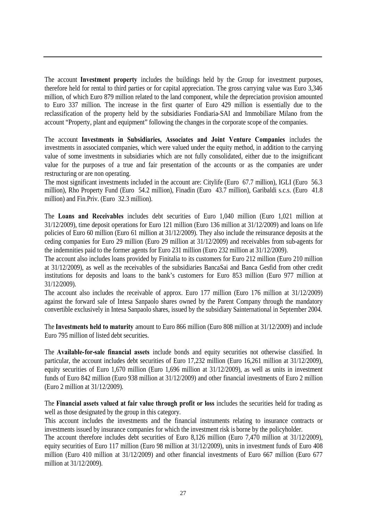The account **Investment property** includes the buildings held by the Group for investment purposes, therefore held for rental to third parties or for capital appreciation. The gross carrying value was Euro 3,346 million, of which Euro 879 million related to the land component, while the depreciation provision amounted to Euro 337 million. The increase in the first quarter of Euro 429 million is essentially due to the reclassification of the property held by the subsidiaries Fondiaria-SAI and Immobiliare Milano from the account "Property, plant and equipment" following the changes in the corporate scope of the companies.

The account **Investments in Subsidiaries, Associates and Joint Venture Companies** includes the investments in associated companies, which were valued under the equity method, in addition to the carrying value of some investments in subsidiaries which are not fully consolidated, either due to the insignificant value for the purposes of a true and fair presentation of the accounts or as the companies are under restructuring or are non operating.

The most significant investments included in the account are: Citylife (Euro 67.7 million), IGLI (Euro 56.3 million), Rho Property Fund (Euro 54.2 million), Finadin (Euro 43.7 million), Garibaldi s.c.s. (Euro 41.8 million) and Fin.Priv. (Euro 32.3 million).

The **Loans and Receivables** includes debt securities of Euro 1,040 million (Euro 1,021 million at 31/12/2009), time deposit operations for Euro 121 million (Euro 136 million at 31/12/2009) and loans on life policies of Euro 60 million (Euro 61 million at 31/12/2009). They also include the reinsurance deposits at the ceding companies for Euro 29 million (Euro 29 million at 31/12/2009) and receivables from sub-agents for the indemnities paid to the former agents for Euro 231 million (Euro 232 million at 31/12/2009).

The account also includes loans provided by Finitalia to its customers for Euro 212 million (Euro 210 million at 31/12/2009), as well as the receivables of the subsidiaries BancaSai and Banca Gesfid from other credit institutions for deposits and loans to the bank's customers for Euro 853 million (Euro 977 million at 31/12/2009).

The account also includes the receivable of approx. Euro 177 million (Euro 176 million at 31/12/2009) against the forward sale of Intesa Sanpaolo shares owned by the Parent Company through the mandatory convertible exclusively in Intesa Sanpaolo shares, issued by the subsidiary Sainternational in September 2004.

The **Investments held to maturity** amount to Euro 866 million (Euro 808 million at 31/12/2009) and include Euro 795 million of listed debt securities.

The **Available-for-sale financial assets** include bonds and equity securities not otherwise classified. In particular, the account includes debt securities of Euro 17,232 million (Euro 16,261 million at 31/12/2009), equity securities of Euro 1,670 million (Euro 1,696 million at 31/12/2009), as well as units in investment funds of Euro 842 million (Euro 938 million at 31/12/2009) and other financial investments of Euro 2 million (Euro 2 million at 31/12/2009).

The **Financial assets valued at fair value through profit or loss** includes the securities held for trading as well as those designated by the group in this category.

This account includes the investments and the financial instruments relating to insurance contracts or investments issued by insurance companies for which the investment risk is borne by the policyholder.

The account therefore includes debt securities of Euro 8,126 million (Euro 7,470 million at 31/12/2009), equity securities of Euro 117 million (Euro 98 million at 31/12/2009), units in investment funds of Euro 408 million (Euro 410 million at 31/12/2009) and other financial investments of Euro 667 million (Euro 677 million at 31/12/2009).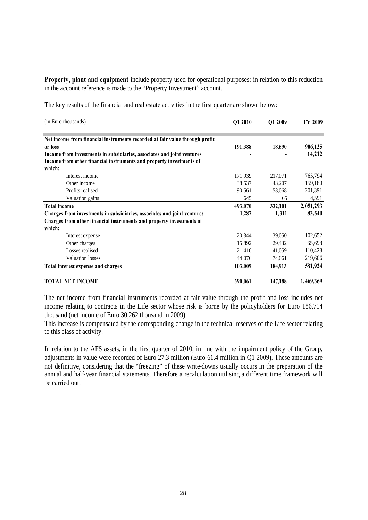**Property, plant and equipment** include property used for operational purposes: in relation to this reduction in the account reference is made to the "Property Investment" account.

The key results of the financial and real estate activities in the first quarter are shown below:

| (in Euro thousands)                                                         | Q1 2010 | Q1 2009 | <b>FY 2009</b> |
|-----------------------------------------------------------------------------|---------|---------|----------------|
| Net income from financial instruments recorded at fair value through profit |         |         |                |
| or loss                                                                     | 191,388 | 18,690  | 906,125        |
| Income from investments in subsidiaries, associates and joint ventures      |         |         | 14,212         |
| Income from other financial instruments and property investments of         |         |         |                |
| which:                                                                      |         |         |                |
| Interest income                                                             | 171,939 | 217,071 | 765,794        |
| Other income                                                                | 38,537  | 43,207  | 159,180        |
| Profits realised                                                            | 90,561  | 53,068  | 201,391        |
| Valuation gains                                                             | 645     | 65      | 4,591          |
| <b>Total income</b>                                                         | 493,070 | 332,101 | 2,051,293      |
| Charges from investments in subsidiaries, associates and joint ventures     | 1,287   | 1,311   | 83,540         |
| Charges from other financial instruments and property investments of        |         |         |                |
| which:                                                                      |         |         |                |
| Interest expense                                                            | 20,344  | 39,050  | 102,652        |
| Other charges                                                               | 15,892  | 29,432  | 65,698         |
| Losses realised                                                             | 21,410  | 41,059  | 110,428        |
| <b>Valuation losses</b>                                                     | 44,076  | 74,061  | 219,606        |
| <b>Total interest expense and charges</b>                                   | 103,009 | 184,913 | 581,924        |
| <b>TOTAL NET INCOME</b>                                                     | 390,061 | 147,188 | 1,469,369      |

The net income from financial instruments recorded at fair value through the profit and loss includes net income relating to contracts in the Life sector whose risk is borne by the policyholders for Euro 186,714 thousand (net income of Euro 30,262 thousand in 2009).

This increase is compensated by the corresponding change in the technical reserves of the Life sector relating to this class of activity.

In relation to the AFS assets, in the first quarter of 2010, in line with the impairment policy of the Group, adjustments in value were recorded of Euro 27.3 million (Euro 61.4 million in Q1 2009). These amounts are not definitive, considering that the "freezing" of these write-downs usually occurs in the preparation of the annual and half-year financial statements. Therefore a recalculation utilising a different time framework will be carried out.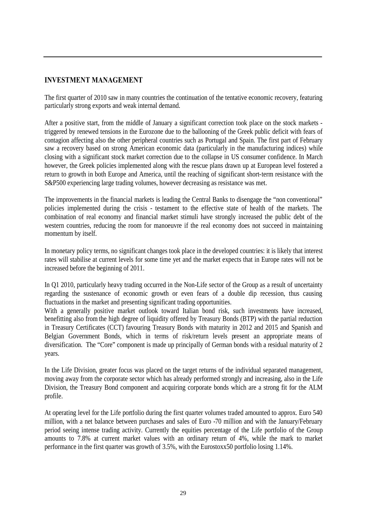# **INVESTMENT MANAGEMENT**

The first quarter of 2010 saw in many countries the continuation of the tentative economic recovery, featuring particularly strong exports and weak internal demand.

After a positive start, from the middle of January a significant correction took place on the stock markets triggered by renewed tensions in the Eurozone due to the ballooning of the Greek public deficit with fears of contagion affecting also the other peripheral countries such as Portugal and Spain. The first part of February saw a recovery based on strong American economic data (particularly in the manufacturing indices) while closing with a significant stock market correction due to the collapse in US consumer confidence. In March however, the Greek policies implemented along with the rescue plans drawn up at European level fostered a return to growth in both Europe and America, until the reaching of significant short-term resistance with the S&P500 experiencing large trading volumes, however decreasing as resistance was met.

The improvements in the financial markets is leading the Central Banks to disengage the "non conventional" policies implemented during the crisis - testament to the effective state of health of the markets. The combination of real economy and financial market stimuli have strongly increased the public debt of the western countries, reducing the room for manoeuvre if the real economy does not succeed in maintaining momentum by itself.

In monetary policy terms, no significant changes took place in the developed countries: it is likely that interest rates will stabilise at current levels for some time yet and the market expects that in Europe rates will not be increased before the beginning of 2011.

In Q1 2010, particularly heavy trading occurred in the Non-Life sector of the Group as a result of uncertainty regarding the sustenance of economic growth or even fears of a double dip recession, thus causing fluctuations in the market and presenting significant trading opportunities.

With a generally positive market outlook toward Italian bond risk, such investments have increased, benefitting also from the high degree of liquidity offered by Treasury Bonds (BTP) with the partial reduction in Treasury Certificates (CCT) favouring Treasury Bonds with maturity in 2012 and 2015 and Spanish and Belgian Government Bonds, which in terms of risk/return levels present an appropriate means of diversification. The "Core" component is made up principally of German bonds with a residual maturity of 2 years.

In the Life Division, greater focus was placed on the target returns of the individual separated management, moving away from the corporate sector which has already performed strongly and increasing, also in the Life Division, the Treasury Bond component and acquiring corporate bonds which are a strong fit for the ALM profile.

At operating level for the Life portfolio during the first quarter volumes traded amounted to approx. Euro 540 million, with a net balance between purchases and sales of Euro -70 million and with the January/February period seeing intense trading activity. Currently the equities percentage of the Life portfolio of the Group amounts to 7.8% at current market values with an ordinary return of 4%, while the mark to market performance in the first quarter was growth of 3.5%, with the Eurostoxx50 portfolio losing 1.14%.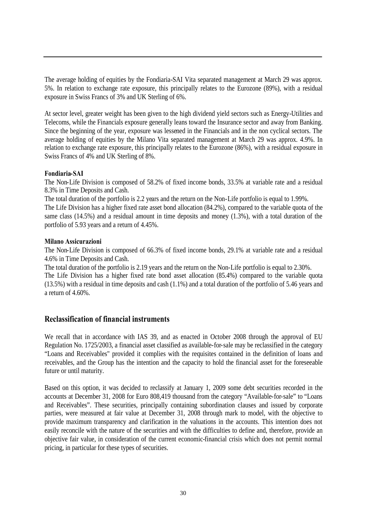The average holding of equities by the Fondiaria-SAI Vita separated management at March 29 was approx. 5%. In relation to exchange rate exposure, this principally relates to the Eurozone (89%), with a residual exposure in Swiss Francs of 3% and UK Sterling of 6%.

At sector level, greater weight has been given to the high dividend yield sectors such as Energy-Utilities and Telecoms, while the Financials exposure generally leans toward the Insurance sector and away from Banking. Since the beginning of the year, exposure was lessened in the Financials and in the non cyclical sectors. The average holding of equities by the Milano Vita separated management at March 29 was approx. 4.9%. In relation to exchange rate exposure, this principally relates to the Eurozone (86%), with a residual exposure in Swiss Francs of 4% and UK Sterling of 8%.

#### **Fondiaria-SAI**

The Non-Life Division is composed of 58.2% of fixed income bonds, 33.5% at variable rate and a residual 8.3% in Time Deposits and Cash.

The total duration of the portfolio is 2.2 years and the return on the Non-Life portfolio is equal to 1.99%.

The Life Division has a higher fixed rate asset bond allocation (84.2%), compared to the variable quota of the same class (14.5%) and a residual amount in time deposits and money (1.3%), with a total duration of the portfolio of 5.93 years and a return of 4.45%.

#### **Milano Assicurazioni**

The Non-Life Division is composed of 66.3% of fixed income bonds, 29.1% at variable rate and a residual 4.6% in Time Deposits and Cash.

The total duration of the portfolio is 2.19 years and the return on the Non-Life portfolio is equal to 2.30%. The Life Division has a higher fixed rate bond asset allocation (85.4%) compared to the variable quota (13.5%) with a residual in time deposits and cash (1.1%) and a total duration of the portfolio of 5.46 years and a return of 4.60%.

#### **Reclassification of financial instruments**

We recall that in accordance with IAS 39, and as enacted in October 2008 through the approval of EU Regulation No. 1725/2003, a financial asset classified as available-for-sale may be reclassified in the category "Loans and Receivables" provided it complies with the requisites contained in the definition of loans and receivables, and the Group has the intention and the capacity to hold the financial asset for the foreseeable future or until maturity.

Based on this option, it was decided to reclassify at January 1, 2009 some debt securities recorded in the accounts at December 31, 2008 for Euro 808,419 thousand from the category "Available-for-sale" to "Loans and Receivables". These securities, principally containing subordination clauses and issued by corporate parties, were measured at fair value at December 31, 2008 through mark to model, with the objective to provide maximum transparency and clarification in the valuations in the accounts. This intention does not easily reconcile with the nature of the securities and with the difficulties to define and, therefore, provide an objective fair value, in consideration of the current economic-financial crisis which does not permit normal pricing, in particular for these types of securities.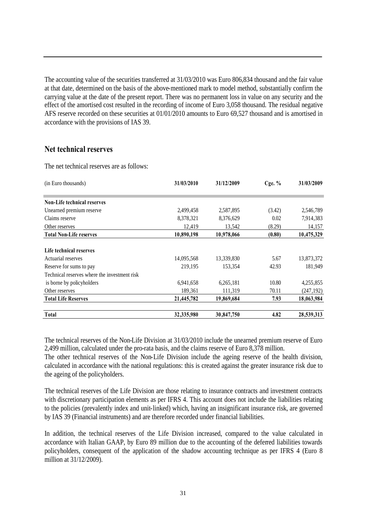The accounting value of the securities transferred at 31/03/2010 was Euro 806,834 thousand and the fair value at that date, determined on the basis of the above-mentioned mark to model method, substantially confirm the carrying value at the date of the present report. There was no permanent loss in value on any security and the effect of the amortised cost resulted in the recording of income of Euro 3,058 thousand. The residual negative AFS reserve recorded on these securities at 01/01/2010 amounts to Euro 69,527 thousand and is amortised in accordance with the provisions of IAS 39.

#### **Net technical reserves**

The net technical reserves are as follows:

| (in Euro thousands)                          | 31/03/2010 | 31/12/2009 | Cge. $%$ | 31/03/2009 |
|----------------------------------------------|------------|------------|----------|------------|
|                                              |            |            |          |            |
| <b>Non-Life technical reserves</b>           |            |            |          |            |
| Unearned premium reserve                     | 2,499,458  | 2,587,895  | (3.42)   | 2,546,789  |
| Claims reserve                               | 8,378,321  | 8,376,629  | 0.02     | 7,914,383  |
| Other reserves                               | 12,419     | 13,542     | (8.29)   | 14,157     |
| <b>Total Non-Life reserves</b>               | 10,890,198 | 10,978,066 | (0.80)   | 10,475,329 |
|                                              |            |            |          |            |
| Life technical reserves                      |            |            |          |            |
| Actuarial reserves                           | 14,095,568 | 13,339,830 | 5.67     | 13,873,372 |
| Reserve for sums to pay                      | 219,195    | 153,354    | 42.93    | 181,949    |
| Technical reserves where the investment risk |            |            |          |            |
| is borne by policyholders                    | 6,941,658  | 6,265,181  | 10.80    | 4,255,855  |
| Other reserves                               | 189,361    | 111,319    | 70.11    | (247, 192) |
| <b>Total Life Reserves</b>                   | 21,445,782 | 19,869,684 | 7.93     | 18,063,984 |
| <b>Total</b>                                 | 32,335,980 | 30,847,750 | 4.82     | 28,539,313 |

The technical reserves of the Non-Life Division at 31/03/2010 include the unearned premium reserve of Euro 2,499 million, calculated under the pro-rata basis, and the claims reserve of Euro 8,378 million.

The other technical reserves of the Non-Life Division include the ageing reserve of the health division, calculated in accordance with the national regulations: this is created against the greater insurance risk due to the ageing of the policyholders.

The technical reserves of the Life Division are those relating to insurance contracts and investment contracts with discretionary participation elements as per IFRS 4. This account does not include the liabilities relating to the policies (prevalently index and unit-linked) which, having an insignificant insurance risk, are governed by IAS 39 (Financial instruments) and are therefore recorded under financial liabilities.

In addition, the technical reserves of the Life Division increased, compared to the value calculated in accordance with Italian GAAP, by Euro 89 million due to the accounting of the deferred liabilities towards policyholders, consequent of the application of the shadow accounting technique as per IFRS 4 (Euro 8 million at 31/12/2009).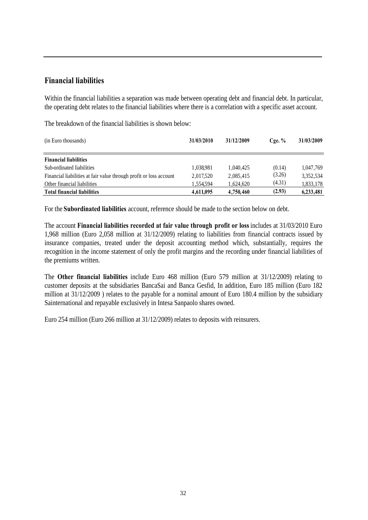# **Financial liabilities**

Within the financial liabilities a separation was made between operating debt and financial debt. In particular, the operating debt relates to the financial liabilities where there is a correlation with a specific asset account.

The breakdown of the financial liabilities is shown below:

| (in Euro thousands)                                                | 31/03/2010 | 31/12/2009 | $C$ ge. $%$ | 31/03/2009 |
|--------------------------------------------------------------------|------------|------------|-------------|------------|
| <b>Financial liabilities</b>                                       |            |            |             |            |
| Sub-ordinated liabilities                                          | 1,038,981  | 1,040,425  | (0.14)      | 1.047.769  |
| Financial liabilities at fair value through profit or loss account | 2,017,520  | 2,085,415  | (3.26)      | 3,352,534  |
| Other financial liabilities                                        | 1,554,594  | 1,624,620  | (4.31)      | 1,833,178  |
| <b>Total financial liabilities</b>                                 | 4,611,095  | 4,750,460  | (2.93)      | 6,233,481  |

For the **Subordinated liabilities** account, reference should be made to the section below on debt.

The account **Financial liabilities recorded at fair value through profit or loss** includes at 31/03/2010 Euro 1,968 million (Euro 2,058 million at 31/12/2009) relating to liabilities from financial contracts issued by insurance companies, treated under the deposit accounting method which, substantially, requires the recognition in the income statement of only the profit margins and the recording under financial liabilities of the premiums written.

The **Other financial liabilities** include Euro 468 million (Euro 579 million at 31/12/2009) relating to customer deposits at the subsidiaries BancaSai and Banca Gesfid, In addition, Euro 185 million (Euro 182 million at 31/12/2009 ) relates to the payable for a nominal amount of Euro 180.4 million by the subsidiary Sainternational and repayable exclusively in Intesa Sanpaolo shares owned.

Euro 254 million (Euro 266 million at 31/12/2009) relates to deposits with reinsurers.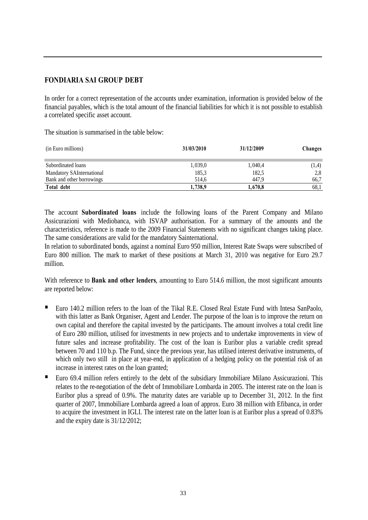# **FONDIARIA SAI GROUP DEBT**

In order for a correct representation of the accounts under examination, information is provided below of the financial payables, which is the total amount of the financial liabilities for which it is not possible to establish a correlated specific asset account.

The situation is summarised in the table below:

| (in Euro millions)        | 31/03/2010 | 31/12/2009 | <b>Changes</b> |
|---------------------------|------------|------------|----------------|
| Subordinated loans        | 1,039,0    | 1,040,4    | (1,4)          |
| Mandatory SAInternational | 185,3      | 182,5      | 2,8            |
| Bank and other borrowings | 514.6      | 447.9      | 66,7           |
| Total debt                | 1,738,9    | 1,670,8    | 68,1           |

The account **Subordinated loans** include the following loans of the Parent Company and Milano Assicurazioni with Mediobanca, with ISVAP authorisation. For a summary of the amounts and the characteristics, reference is made to the 2009 Financial Statements with no significant changes taking place. The same considerations are valid for the mandatory Sainternational.

In relation to subordinated bonds, against a nominal Euro 950 million, Interest Rate Swaps were subscribed of Euro 800 million. The mark to market of these positions at March 31, 2010 was negative for Euro 29.7 million.

With reference to **Bank and other lenders**, amounting to Euro 514.6 million, the most significant amounts are reported below:

- Euro 140.2 million refers to the loan of the Tikal R.E. Closed Real Estate Fund with Intesa SanPaolo, with this latter as Bank Organiser, Agent and Lender. The purpose of the loan is to improve the return on own capital and therefore the capital invested by the participants. The amount involves a total credit line of Euro 280 million, utilised for investments in new projects and to undertake improvements in view of future sales and increase profitability. The cost of the loan is Euribor plus a variable credit spread between 70 and 110 b.p. The Fund, since the previous year, has utilised interest derivative instruments, of which only two still in place at year-end, in application of a hedging policy on the potential risk of an increase in interest rates on the loan granted;
- Euro 69.4 million refers entirely to the debt of the subsidiary Immobiliare Milano Assicurazioni. This relates to the re-negotiation of the debt of Immobiliare Lombarda in 2005. The interest rate on the loan is Euribor plus a spread of 0.9%. The maturity dates are variable up to December 31, 2012. In the first quarter of 2007, Immobiliare Lombarda agreed a loan of approx. Euro 38 million with Efibanca, in order to acquire the investment in IGLI. The interest rate on the latter loan is at Euribor plus a spread of 0.83% and the expiry date is 31/12/2012;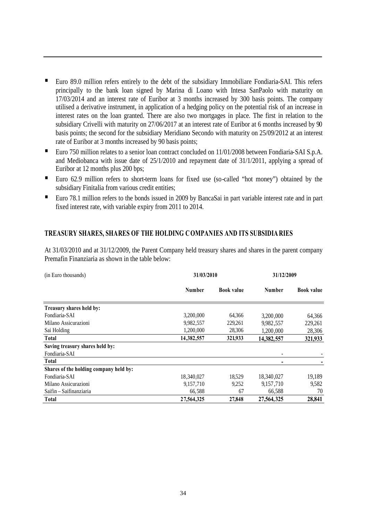- Euro 89.0 million refers entirely to the debt of the subsidiary Immobiliare Fondiaria-SAI. This refers principally to the bank loan signed by Marina di Loano with Intesa SanPaolo with maturity on 17/03/2014 and an interest rate of Euribor at 3 months increased by 300 basis points. The company utilised a derivative instrument, in application of a hedging policy on the potential risk of an increase in interest rates on the loan granted. There are also two mortgages in place. The first in relation to the subsidiary Crivelli with maturity on 27/06/2017 at an interest rate of Euribor at 6 months increased by 90 basis points; the second for the subsidiary Meridiano Secondo with maturity on 25/09/2012 at an interest rate of Euribor at 3 months increased by 90 basis points;
- Euro 750 million relates to a senior loan contract concluded on 11/01/2008 between Fondiaria-SAI S.p.A. and Mediobanca with issue date of 25/1/2010 and repayment date of 31/1/2011, applying a spread of Euribor at 12 months plus 200 bps;
- Euro 62.9 million refers to short-term loans for fixed use (so-called "hot money") obtained by the subsidiary Finitalia from various credit entities;
- Euro 78.1 million refers to the bonds issued in 2009 by BancaSai in part variable interest rate and in part fixed interest rate, with variable expiry from 2011 to 2014.

#### **TREASURY SHARES, SHARES OF THE HOLDING COMPANIES AND ITS SUBSIDIA RIES**

At 31/03/2010 and at 31/12/2009, the Parent Company held treasury shares and shares in the parent company Premafin Finanziaria as shown in the table below:

| (in Euro thousands)                    | 31/03/2010    |                   | 31/12/2009               |                   |  |
|----------------------------------------|---------------|-------------------|--------------------------|-------------------|--|
|                                        | <b>Number</b> | <b>Book value</b> | <b>Number</b>            | <b>Book value</b> |  |
| Treasury shares held by:               |               |                   |                          |                   |  |
| Fondiaria-SAI                          | 3,200,000     | 64,366            | 3,200,000                | 64,366            |  |
| Milano Assicurazioni                   | 9,982,557     | 229,261           | 9,982,557                | 229,261           |  |
| Sai Holding                            | 1,200,000     | 28,306            | 1,200,000                | 28,306            |  |
| Total                                  | 14,382,557    | 321,933           | 14,382,557               | 321,933           |  |
| Saving treasury shares held by:        |               |                   |                          |                   |  |
| Fondiaria-SAI                          |               |                   | $\overline{\phantom{0}}$ |                   |  |
| Total                                  |               |                   | -                        |                   |  |
| Shares of the holding company held by: |               |                   |                          |                   |  |
| Fondiaria-SAI                          | 18,340,027    | 18,529            | 18,340,027               | 19,189            |  |
| Milano Assicurazioni                   | 9,157,710     | 9,252             | 9,157,710                | 9,582             |  |
| Saifin – Saifinanziaria                | 66,588        | 67                | 66,588                   | 70                |  |
| <b>Total</b>                           | 27,564,325    | 27,848            | 27,564,325               | 28,841            |  |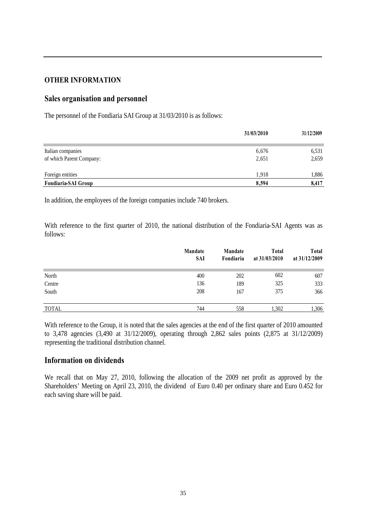### **OTHER INFORMATION**

### **Sales organisation and personnel**

The personnel of the Fondiaria SAI Group at 31/03/2010 is as follows:

|                          | 31/03/2010 | 31/12/2009 |
|--------------------------|------------|------------|
|                          |            |            |
| Italian companies        | 6,676      | 6,531      |
| of which Parent Company: | 2,651      | 2,659      |
| Foreign entities         | 1.918      | 1,886      |
| Fondiaria-SAI Group      | 8,594      | 8,417      |

In addition, the employees of the foreign companies include 740 brokers.

With reference to the first quarter of 2010, the national distribution of the Fondiaria-SAI Agents was as follows:

|              | Mandate<br><b>SAI</b> | Mandate<br>Fondiaria | <b>Total</b><br>at 31/03/2010 | <b>Total</b><br>at 31/12/2009 |
|--------------|-----------------------|----------------------|-------------------------------|-------------------------------|
| North        | 400                   | 202                  | 602                           | 607                           |
| Centre       | 136                   | 189                  | 325                           | 333                           |
| South        | 208                   | 167                  | 375                           | 366                           |
| <b>TOTAL</b> | 744                   | 558                  | 1,302                         | 1,306                         |

With reference to the Group, it is noted that the sales agencies at the end of the first quarter of 2010 amounted to 3,478 agencies (3,490 at 31/12/2009), operating through 2,862 sales points (2,875 at 31/12/2009) representing the traditional distribution channel.

#### **Information on dividends**

We recall that on May 27, 2010, following the allocation of the 2009 net profit as approved by the Shareholders' Meeting on April 23, 2010, the dividend of Euro 0.40 per ordinary share and Euro 0.452 for each saving share will be paid.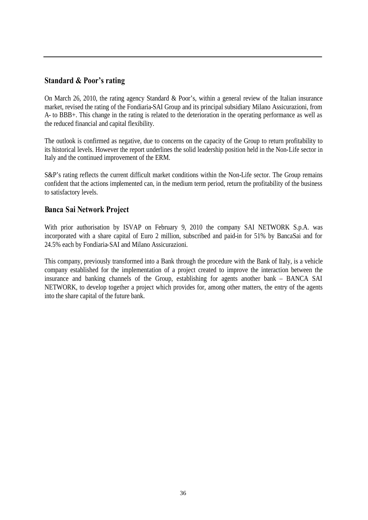# **Standard & Poor's rating**

On March 26, 2010, the rating agency Standard & Poor's, within a general review of the Italian insurance market, revised the rating of the Fondiaria-SAI Group and its principal subsidiary Milano Assicurazioni, from A- to BBB+. This change in the rating is related to the deterioration in the operating performance as well as the reduced financial and capital flexibility.

The outlook is confirmed as negative, due to concerns on the capacity of the Group to return profitability to its historical levels. However the report underlines the solid leadership position held in the Non-Life sector in Italy and the continued improvement of the ERM.

S&P's rating reflects the current difficult market conditions within the Non-Life sector. The Group remains confident that the actions implemented can, in the medium term period, return the profitability of the business to satisfactory levels.

### **Banca Sai Network Project**

With prior authorisation by ISVAP on February 9, 2010 the company SAI NETWORK S.p.A. was incorporated with a share capital of Euro 2 million, subscribed and paid-in for 51% by BancaSai and for 24.5% each by Fondiaria-SAI and Milano Assicurazioni.

This company, previously transformed into a Bank through the procedure with the Bank of Italy, is a vehicle company established for the implementation of a project created to improve the interaction between the insurance and banking channels of the Group, establishing for agents another bank – BANCA SAI NETWORK, to develop together a project which provides for, among other matters, the entry of the agents into the share capital of the future bank.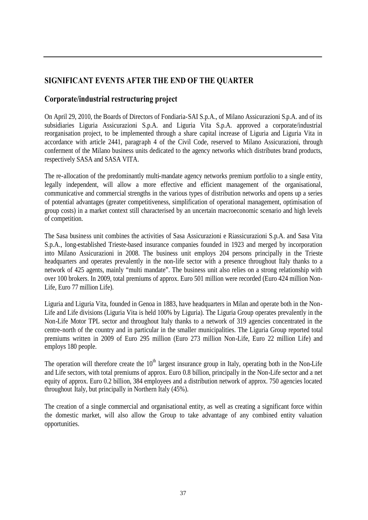# **SIGNIFICANT EVENTS AFTER THE END OF THE QUARTER**

# **Corporate/industrial restructuring project**

On April 29, 2010, the Boards of Directors of Fondiaria-SAI S.p.A., of Milano Assicurazioni S.p.A. and of its subsidiaries Liguria Assicurazioni S.p.A. and Liguria Vita S.p.A. approved a corporate/industrial reorganisation project, to be implemented through a share capital increase of Liguria and Liguria Vita in accordance with article 2441, paragraph 4 of the Civil Code, reserved to Milano Assicurazioni, through conferment of the Milano business units dedicated to the agency networks which distributes brand products, respectively SASA and SASA VITA.

The re-allocation of the predominantly multi-mandate agency networks premium portfolio to a single entity, legally independent, will allow a more effective and efficient management of the organisational, communicative and commercial strengths in the various types of distribution networks and opens up a series of potential advantages (greater competitiveness, simplification of operational management, optimisation of group costs) in a market context still characterised by an uncertain macroeconomic scenario and high levels of competition.

The Sasa business unit combines the activities of Sasa Assicurazioni e Riassicurazioni S.p.A. and Sasa Vita S.p.A., long-established Trieste-based insurance companies founded in 1923 and merged by incorporation into Milano Assicurazioni in 2008. The business unit employs 204 persons principally in the Trieste headquarters and operates prevalently in the non-life sector with a presence throughout Italy thanks to a network of 425 agents, mainly "multi mandate". The business unit also relies on a strong relationship with over 100 brokers. In 2009, total premiums of approx. Euro 501 million were recorded (Euro 424 million Non-Life, Euro 77 million Life).

Liguria and Liguria Vita, founded in Genoa in 1883, have headquarters in Milan and operate both in the Non-Life and Life divisions (Liguria Vita is held 100% by Liguria). The Liguria Group operates prevalently in the Non-Life Motor TPL sector and throughout Italy thanks to a network of 319 agencies concentrated in the centre-north of the country and in particular in the smaller municipalities. The Liguria Group reported total premiums written in 2009 of Euro 295 million (Euro 273 million Non-Life, Euro 22 million Life) and employs 180 people.

The operation will therefore create the  $10<sup>th</sup>$  largest insurance group in Italy, operating both in the Non-Life and Life sectors, with total premiums of approx. Euro 0.8 billion, principally in the Non-Life sector and a net equity of approx. Euro 0.2 billion, 384 employees and a distribution network of approx. 750 agencies located throughout Italy, but principally in Northern Italy (45%).

The creation of a single commercial and organisational entity, as well as creating a significant force within the domestic market, will also allow the Group to take advantage of any combined entity valuation opportunities.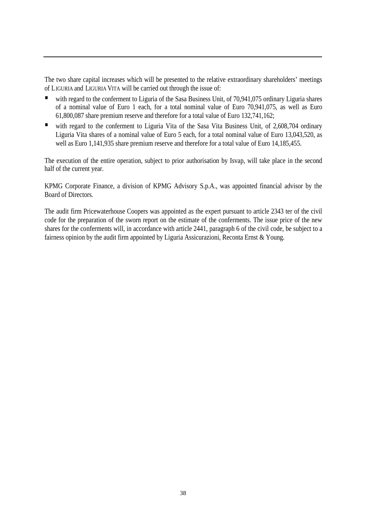The two share capital increases which will be presented to the relative extraordinary shareholders' meetings of LIGURIA and LIGURIA VITA will be carried out through the issue of:

- with regard to the conferment to Liguria of the Sasa Business Unit, of 70,941,075 ordinary Liguria shares of a nominal value of Euro 1 each, for a total nominal value of Euro 70,941,075, as well as Euro 61,800,087 share premium reserve and therefore for a total value of Euro 132,741,162;
- with regard to the conferment to Liguria Vita of the Sasa Vita Business Unit, of 2,608,704 ordinary Liguria Vita shares of a nominal value of Euro 5 each, for a total nominal value of Euro 13,043,520, as well as Euro 1,141,935 share premium reserve and therefore for a total value of Euro 14,185,455.

The execution of the entire operation, subject to prior authorisation by Isvap, will take place in the second half of the current year.

KPMG Corporate Finance, a division of KPMG Advisory S.p.A., was appointed financial advisor by the Board of Directors.

The audit firm Pricewaterhouse Coopers was appointed as the expert pursuant to article 2343 ter of the civil code for the preparation of the sworn report on the estimate of the conferments. The issue price of the new shares for the conferments will, in accordance with article 2441, paragraph 6 of the civil code, be subject to a fairness opinion by the audit firm appointed by Liguria Assicurazioni, Reconta Ernst & Young.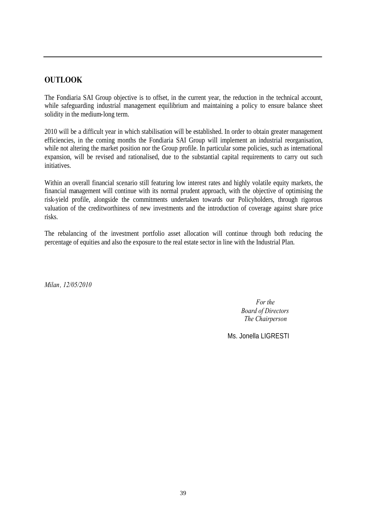# **OUTLOOK**

The Fondiaria SAI Group objective is to offset, in the current year, the reduction in the technical account, while safeguarding industrial management equilibrium and maintaining a policy to ensure balance sheet solidity in the medium-long term.

2010 will be a difficult year in which stabilisation will be established. In order to obtain greater management efficiencies, in the coming months the Fondiaria SAI Group will implement an industrial reorganisation, while not altering the market position nor the Group profile. In particular some policies, such as international expansion, will be revised and rationalised, due to the substantial capital requirements to carry out such initiatives.

Within an overall financial scenario still featuring low interest rates and highly volatile equity markets, the financial management will continue with its normal prudent approach, with the objective of optimising the risk-yield profile, alongside the commitments undertaken towards our Policyholders, through rigorous valuation of the creditworthiness of new investments and the introduction of coverage against share price risks.

The rebalancing of the investment portfolio asset allocation will continue through both reducing the percentage of equities and also the exposure to the real estate sector in line with the Industrial Plan.

*Milan, 12/05/2010*

*For the Board of Directors The Chairperson*

Ms. Jonella LIGRESTI